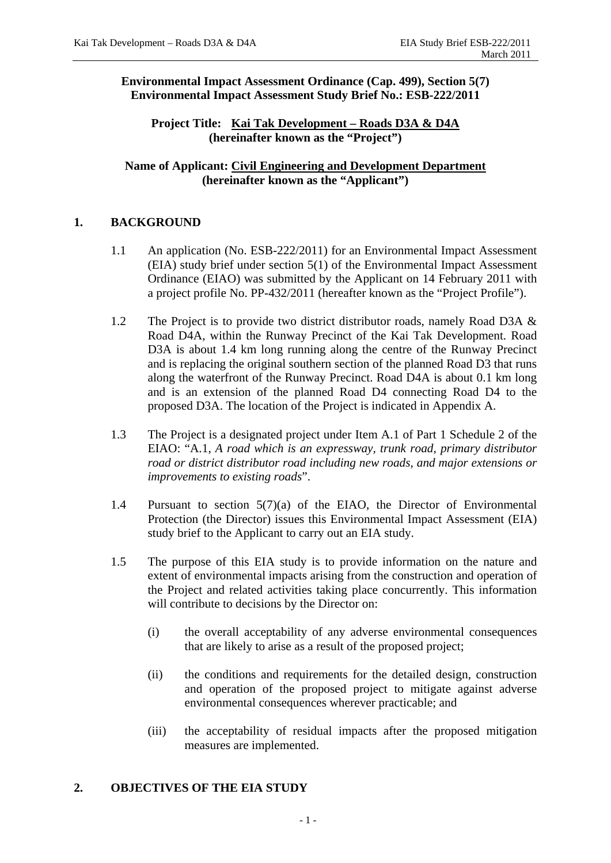**Environmental Impact Assessment Ordinance (Cap. 499), Section 5(7) Environmental Impact Assessment Study Brief No.: ESB-222/2011** 

**Project Title: Kai Tak Development – Roads D3A & D4A (hereinafter known as the "Project")** 

**Name of Applicant: Civil Engineering and Development Department (hereinafter known as the "Applicant")** 

## **1. BACKGROUND**

- 1.1 An application (No. ESB-222/2011) for an Environmental Impact Assessment (EIA) study brief under section 5(1) of the Environmental Impact Assessment Ordinance (EIAO) was submitted by the Applicant on 14 February 2011 with a project profile No. PP-432/2011 (hereafter known as the "Project Profile").
- 1.2 The Project is to provide two district distributor roads, namely Road D3A & Road D4A, within the Runway Precinct of the Kai Tak Development. Road D3A is about 1.4 km long running along the centre of the Runway Precinct and is replacing the original southern section of the planned Road D3 that runs along the waterfront of the Runway Precinct. Road D4A is about 0.1 km long and is an extension of the planned Road D4 connecting Road D4 to the proposed D3A. The location of the Project is indicated in Appendix A.
- 1.3 The Project is a designated project under Item A.1 of Part 1 Schedule 2 of the EIAO: "A.1, *A road which is an expressway, trunk road, primary distributor road or district distributor road including new roads, and major extensions or improvements to existing roads*".
- 1.4 Pursuant to section 5(7)(a) of the EIAO, the Director of Environmental Protection (the Director) issues this Environmental Impact Assessment (EIA) study brief to the Applicant to carry out an EIA study.
- 1.5 The purpose of this EIA study is to provide information on the nature and extent of environmental impacts arising from the construction and operation of the Project and related activities taking place concurrently. This information will contribute to decisions by the Director on:
	- (i) the overall acceptability of any adverse environmental consequences that are likely to arise as a result of the proposed project;
	- (ii) the conditions and requirements for the detailed design, construction and operation of the proposed project to mitigate against adverse environmental consequences wherever practicable; and
	- (iii) the acceptability of residual impacts after the proposed mitigation measures are implemented.

## **2. OBJECTIVES OF THE EIA STUDY**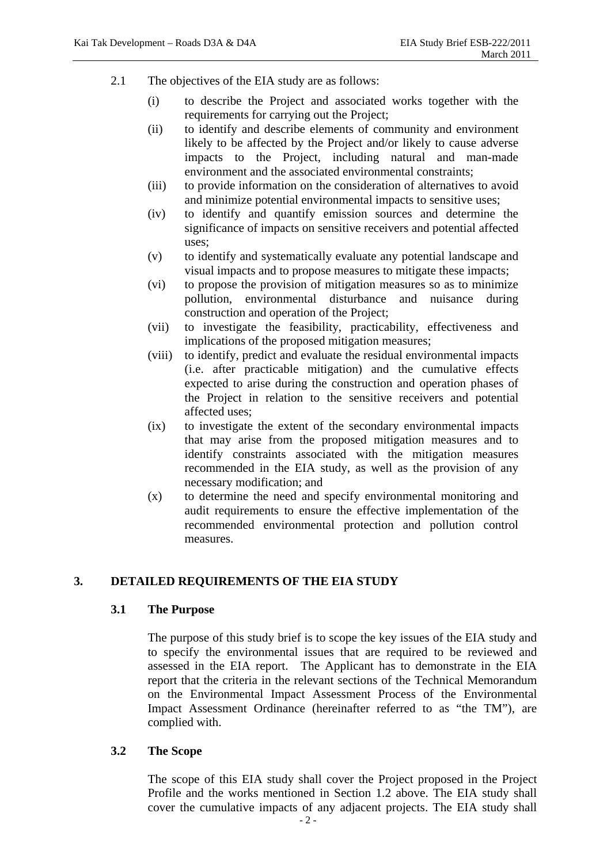- 2.1 The objectives of the EIA study are as follows:
	- (i) to describe the Project and associated works together with the requirements for carrying out the Project;
	- (ii) to identify and describe elements of community and environment likely to be affected by the Project and/or likely to cause adverse impacts to the Project, including natural and man-made environment and the associated environmental constraints;
	- (iii) to provide information on the consideration of alternatives to avoid and minimize potential environmental impacts to sensitive uses;
	- (iv) to identify and quantify emission sources and determine the significance of impacts on sensitive receivers and potential affected uses;
	- (v) to identify and systematically evaluate any potential landscape and visual impacts and to propose measures to mitigate these impacts;
	- (vi) to propose the provision of mitigation measures so as to minimize pollution, environmental disturbance and nuisance during construction and operation of the Project;
	- (vii) to investigate the feasibility, practicability, effectiveness and implications of the proposed mitigation measures;
	- (viii) to identify, predict and evaluate the residual environmental impacts (i.e. after practicable mitigation) and the cumulative effects expected to arise during the construction and operation phases of the Project in relation to the sensitive receivers and potential affected uses;
	- (ix) to investigate the extent of the secondary environmental impacts that may arise from the proposed mitigation measures and to identify constraints associated with the mitigation measures recommended in the EIA study, as well as the provision of any necessary modification; and
	- (x) to determine the need and specify environmental monitoring and audit requirements to ensure the effective implementation of the recommended environmental protection and pollution control measures.

## **3. DETAILED REQUIREMENTS OF THE EIA STUDY**

## **3.1 The Purpose**

The purpose of this study brief is to scope the key issues of the EIA study and to specify the environmental issues that are required to be reviewed and assessed in the EIA report. The Applicant has to demonstrate in the EIA report that the criteria in the relevant sections of the Technical Memorandum on the Environmental Impact Assessment Process of the Environmental Impact Assessment Ordinance (hereinafter referred to as "the TM"), are complied with.

#### **3.2 The Scope**

The scope of this EIA study shall cover the Project proposed in the Project Profile and the works mentioned in Section 1.2 above. The EIA study shall cover the cumulative impacts of any adjacent projects. The EIA study shall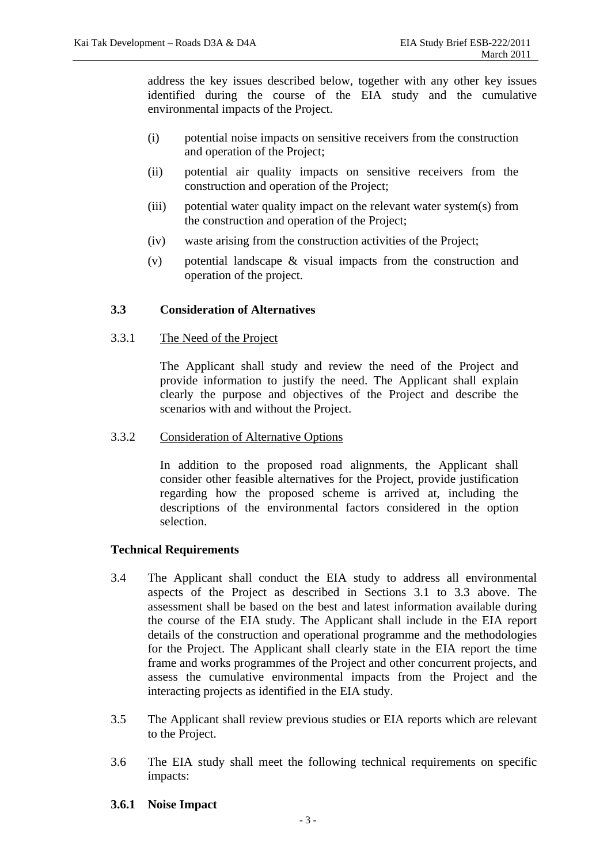address the key issues described below, together with any other key issues identified during the course of the EIA study and the cumulative environmental impacts of the Project.

- (i) potential noise impacts on sensitive receivers from the construction and operation of the Project;
- (ii) potential air quality impacts on sensitive receivers from the construction and operation of the Project;
- (iii) potential water quality impact on the relevant water system(s) from the construction and operation of the Project;
- (iv) waste arising from the construction activities of the Project;
- (v) potential landscape & visual impacts from the construction and operation of the project.

## **3.3 Consideration of Alternatives**

#### 3.3.1 The Need of the Project

 The Applicant shall study and review the need of the Project and provide information to justify the need. The Applicant shall explain clearly the purpose and objectives of the Project and describe the scenarios with and without the Project.

#### 3.3.2 Consideration of Alternative Options

 In addition to the proposed road alignments, the Applicant shall consider other feasible alternatives for the Project, provide justification regarding how the proposed scheme is arrived at, including the descriptions of the environmental factors considered in the option selection.

#### **Technical Requirements**

- 3.4 The Applicant shall conduct the EIA study to address all environmental aspects of the Project as described in Sections 3.1 to 3.3 above. The assessment shall be based on the best and latest information available during the course of the EIA study. The Applicant shall include in the EIA report details of the construction and operational programme and the methodologies for the Project. The Applicant shall clearly state in the EIA report the time frame and works programmes of the Project and other concurrent projects, and assess the cumulative environmental impacts from the Project and the interacting projects as identified in the EIA study.
- 3.5 The Applicant shall review previous studies or EIA reports which are relevant to the Project.
- 3.6 The EIA study shall meet the following technical requirements on specific impacts:
- **3.6.1 Noise Impact**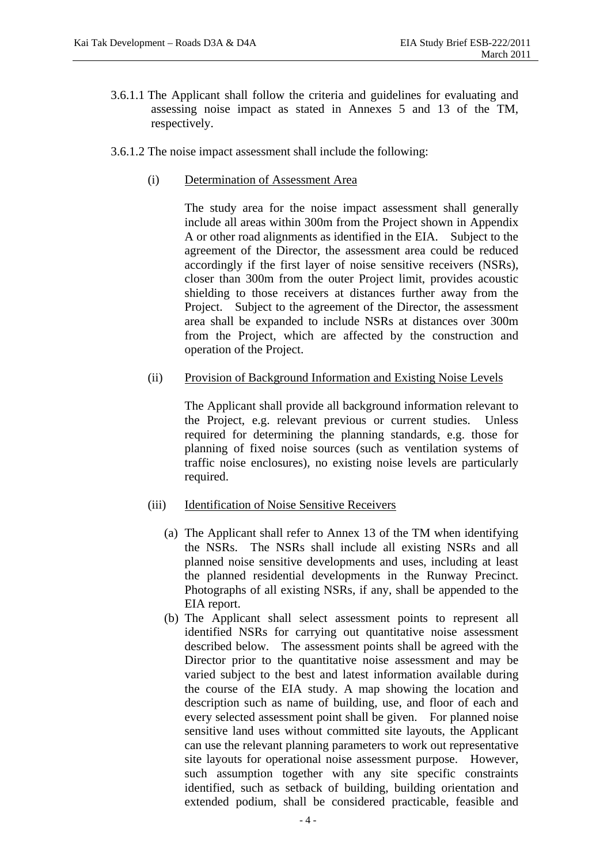- 3.6.1.1 The Applicant shall follow the criteria and guidelines for evaluating and assessing noise impact as stated in Annexes 5 and 13 of the TM, respectively.
- 3.6.1.2 The noise impact assessment shall include the following:
	- (i) Determination of Assessment Area

The study area for the noise impact assessment shall generally include all areas within 300m from the Project shown in Appendix A or other road alignments as identified in the EIA. Subject to the agreement of the Director, the assessment area could be reduced accordingly if the first layer of noise sensitive receivers (NSRs), closer than 300m from the outer Project limit, provides acoustic shielding to those receivers at distances further away from the Project. Subject to the agreement of the Director, the assessment area shall be expanded to include NSRs at distances over 300m from the Project, which are affected by the construction and operation of the Project.

# (ii) Provision of Background Information and Existing Noise Levels

The Applicant shall provide all background information relevant to the Project, e.g. relevant previous or current studies. Unless required for determining the planning standards, e.g. those for planning of fixed noise sources (such as ventilation systems of traffic noise enclosures), no existing noise levels are particularly required.

## (iii) Identification of Noise Sensitive Receivers

- (a) The Applicant shall refer to Annex 13 of the TM when identifying the NSRs. The NSRs shall include all existing NSRs and all planned noise sensitive developments and uses, including at least the planned residential developments in the Runway Precinct. Photographs of all existing NSRs, if any, shall be appended to the EIA report.
- (b) The Applicant shall select assessment points to represent all identified NSRs for carrying out quantitative noise assessment described below. The assessment points shall be agreed with the Director prior to the quantitative noise assessment and may be varied subject to the best and latest information available during the course of the EIA study. A map showing the location and description such as name of building, use, and floor of each and every selected assessment point shall be given. For planned noise sensitive land uses without committed site layouts, the Applicant can use the relevant planning parameters to work out representative site layouts for operational noise assessment purpose. However, such assumption together with any site specific constraints identified, such as setback of building, building orientation and extended podium, shall be considered practicable, feasible and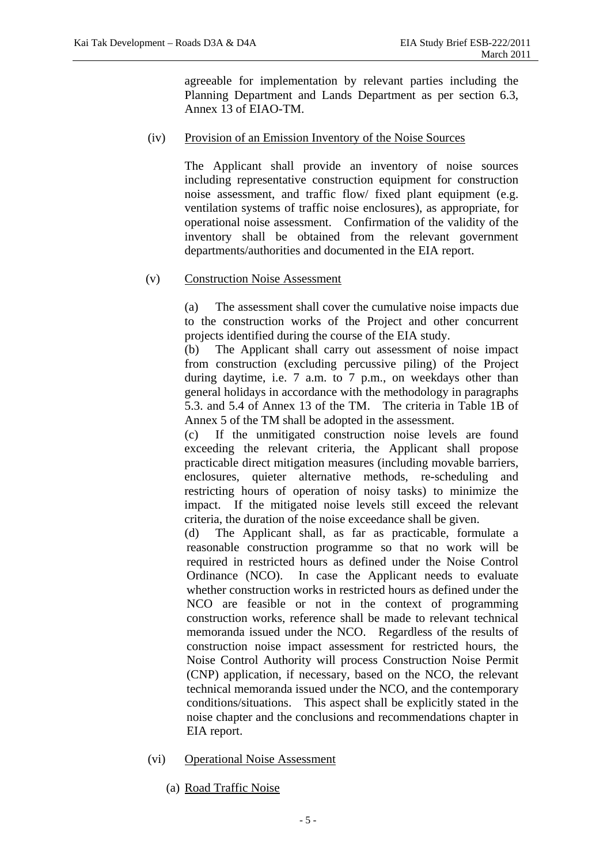agreeable for implementation by relevant parties including the Planning Department and Lands Department as per section 6.3, Annex 13 of EIAO-TM.

### (iv) Provision of an Emission Inventory of the Noise Sources

The Applicant shall provide an inventory of noise sources including representative construction equipment for construction noise assessment, and traffic flow/ fixed plant equipment (e.g. ventilation systems of traffic noise enclosures), as appropriate, for operational noise assessment. Confirmation of the validity of the inventory shall be obtained from the relevant government departments/authorities and documented in the EIA report.

#### (v) Construction Noise Assessment

(a) The assessment shall cover the cumulative noise impacts due to the construction works of the Project and other concurrent projects identified during the course of the EIA study.

(b) The Applicant shall carry out assessment of noise impact from construction (excluding percussive piling) of the Project during daytime, i.e. 7 a.m. to 7 p.m., on weekdays other than general holidays in accordance with the methodology in paragraphs 5.3. and 5.4 of Annex 13 of the TM. The criteria in Table 1B of Annex 5 of the TM shall be adopted in the assessment.

 (c) If the unmitigated construction noise levels are found exceeding the relevant criteria, the Applicant shall propose practicable direct mitigation measures (including movable barriers, enclosures, quieter alternative methods, re-scheduling and restricting hours of operation of noisy tasks) to minimize the impact. If the mitigated noise levels still exceed the relevant criteria, the duration of the noise exceedance shall be given.

(d) The Applicant shall, as far as practicable, formulate a reasonable construction programme so that no work will be required in restricted hours as defined under the Noise Control Ordinance (NCO). In case the Applicant needs to evaluate whether construction works in restricted hours as defined under the NCO are feasible or not in the context of programming construction works, reference shall be made to relevant technical memoranda issued under the NCO. Regardless of the results of construction noise impact assessment for restricted hours, the Noise Control Authority will process Construction Noise Permit (CNP) application, if necessary, based on the NCO, the relevant technical memoranda issued under the NCO, and the contemporary conditions/situations. This aspect shall be explicitly stated in the noise chapter and the conclusions and recommendations chapter in EIA report.

- (vi) Operational Noise Assessment
	- (a) Road Traffic Noise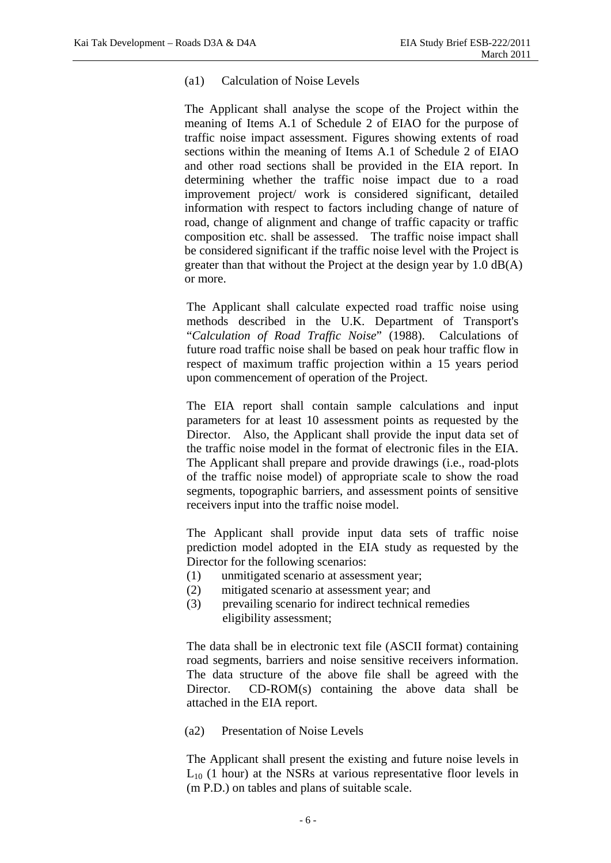#### (a1) Calculation of Noise Levels

The Applicant shall analyse the scope of the Project within the meaning of Items A.1 of Schedule 2 of EIAO for the purpose of traffic noise impact assessment. Figures showing extents of road sections within the meaning of Items A.1 of Schedule 2 of EIAO and other road sections shall be provided in the EIA report. In determining whether the traffic noise impact due to a road improvement project/ work is considered significant, detailed information with respect to factors including change of nature of road, change of alignment and change of traffic capacity or traffic composition etc. shall be assessed. The traffic noise impact shall be considered significant if the traffic noise level with the Project is greater than that without the Project at the design year by 1.0 dB(A) or more.

The Applicant shall calculate expected road traffic noise using methods described in the U.K. Department of Transport's "*Calculation of Road Traffic Noise*" (1988). Calculations of future road traffic noise shall be based on peak hour traffic flow in respect of maximum traffic projection within a 15 years period upon commencement of operation of the Project.

The EIA report shall contain sample calculations and input parameters for at least 10 assessment points as requested by the Director. Also, the Applicant shall provide the input data set of the traffic noise model in the format of electronic files in the EIA. The Applicant shall prepare and provide drawings (i.e., road-plots of the traffic noise model) of appropriate scale to show the road segments, topographic barriers, and assessment points of sensitive receivers input into the traffic noise model.

The Applicant shall provide input data sets of traffic noise prediction model adopted in the EIA study as requested by the Director for the following scenarios:

- (1) unmitigated scenario at assessment year;
- (2) mitigated scenario at assessment year; and
- (3) prevailing scenario for indirect technical remedies eligibility assessment;

The data shall be in electronic text file (ASCII format) containing road segments, barriers and noise sensitive receivers information. The data structure of the above file shall be agreed with the Director. CD-ROM(s) containing the above data shall be attached in the EIA report.

#### (a2) Presentation of Noise Levels

The Applicant shall present the existing and future noise levels in  $L_{10}$  (1 hour) at the NSRs at various representative floor levels in (m P.D.) on tables and plans of suitable scale.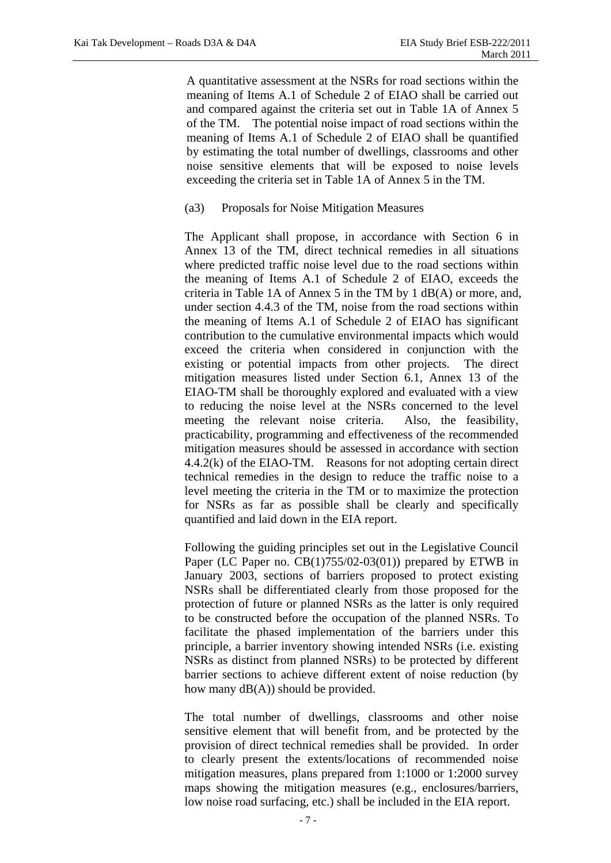A quantitative assessment at the NSRs for road sections within the meaning of Items A.1 of Schedule 2 of EIAO shall be carried out and compared against the criteria set out in Table 1A of Annex 5 of the TM. The potential noise impact of road sections within the meaning of Items A.1 of Schedule 2 of EIAO shall be quantified by estimating the total number of dwellings, classrooms and other noise sensitive elements that will be exposed to noise levels exceeding the criteria set in Table 1A of Annex 5 in the TM.

#### (a3) Proposals for Noise Mitigation Measures

The Applicant shall propose, in accordance with Section 6 in Annex 13 of the TM, direct technical remedies in all situations where predicted traffic noise level due to the road sections within the meaning of Items A.1 of Schedule 2 of EIAO, exceeds the criteria in Table 1A of Annex 5 in the TM by 1 dB(A) or more, and, under section 4.4.3 of the TM, noise from the road sections within the meaning of Items A.1 of Schedule 2 of EIAO has significant contribution to the cumulative environmental impacts which would exceed the criteria when considered in conjunction with the existing or potential impacts from other projects. The direct mitigation measures listed under Section 6.1, Annex 13 of the EIAO-TM shall be thoroughly explored and evaluated with a view to reducing the noise level at the NSRs concerned to the level meeting the relevant noise criteria. Also, the feasibility, practicability, programming and effectiveness of the recommended mitigation measures should be assessed in accordance with section 4.4.2(k) of the EIAO-TM. Reasons for not adopting certain direct technical remedies in the design to reduce the traffic noise to a level meeting the criteria in the TM or to maximize the protection for NSRs as far as possible shall be clearly and specifically quantified and laid down in the EIA report.

Following the guiding principles set out in the Legislative Council Paper (LC Paper no. CB(1)755/02-03(01)) prepared by ETWB in January 2003, sections of barriers proposed to protect existing NSRs shall be differentiated clearly from those proposed for the protection of future or planned NSRs as the latter is only required to be constructed before the occupation of the planned NSRs. To facilitate the phased implementation of the barriers under this principle, a barrier inventory showing intended NSRs (i.e. existing NSRs as distinct from planned NSRs) to be protected by different barrier sections to achieve different extent of noise reduction (by how many dB(A)) should be provided.

The total number of dwellings, classrooms and other noise sensitive element that will benefit from, and be protected by the provision of direct technical remedies shall be provided. In order to clearly present the extents/locations of recommended noise mitigation measures, plans prepared from 1:1000 or 1:2000 survey maps showing the mitigation measures (e.g., enclosures/barriers, low noise road surfacing, etc.) shall be included in the EIA report.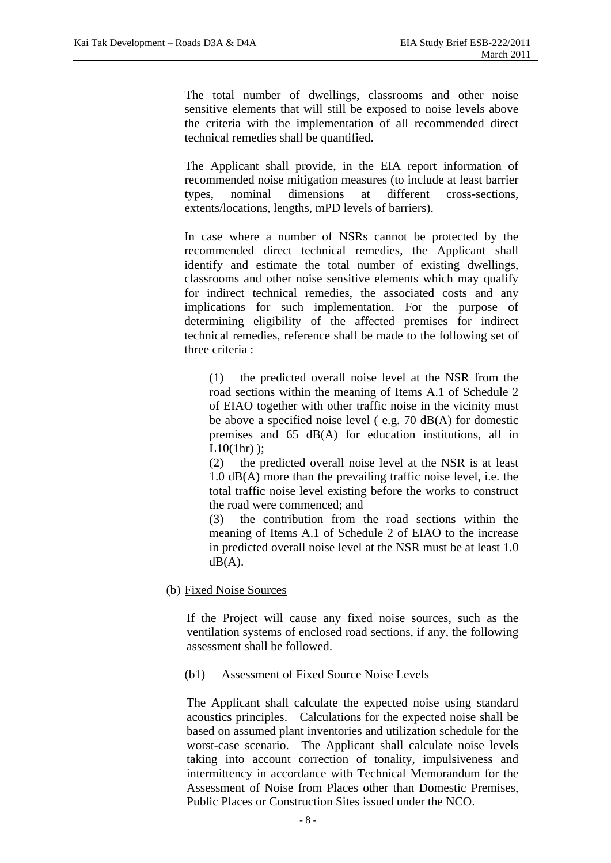The total number of dwellings, classrooms and other noise sensitive elements that will still be exposed to noise levels above the criteria with the implementation of all recommended direct technical remedies shall be quantified.

The Applicant shall provide, in the EIA report information of recommended noise mitigation measures (to include at least barrier types, nominal dimensions at different cross-sections, extents/locations, lengths, mPD levels of barriers).

In case where a number of NSRs cannot be protected by the recommended direct technical remedies, the Applicant shall identify and estimate the total number of existing dwellings, classrooms and other noise sensitive elements which may qualify for indirect technical remedies, the associated costs and any implications for such implementation. For the purpose of determining eligibility of the affected premises for indirect technical remedies, reference shall be made to the following set of three criteria :

(1) the predicted overall noise level at the NSR from the road sections within the meaning of Items A.1 of Schedule 2 of EIAO together with other traffic noise in the vicinity must be above a specified noise level ( e.g. 70 dB(A) for domestic premises and 65 dB(A) for education institutions, all in  $L10(1hr)$  ):

(2) the predicted overall noise level at the NSR is at least 1.0 dB(A) more than the prevailing traffic noise level, i.e. the total traffic noise level existing before the works to construct the road were commenced; and

(3) the contribution from the road sections within the meaning of Items A.1 of Schedule 2 of EIAO to the increase in predicted overall noise level at the NSR must be at least 1.0  $dB(A)$ .

(b) Fixed Noise Sources

If the Project will cause any fixed noise sources, such as the ventilation systems of enclosed road sections, if any, the following assessment shall be followed.

#### (b1) Assessment of Fixed Source Noise Levels

The Applicant shall calculate the expected noise using standard acoustics principles. Calculations for the expected noise shall be based on assumed plant inventories and utilization schedule for the worst-case scenario. The Applicant shall calculate noise levels taking into account correction of tonality, impulsiveness and intermittency in accordance with Technical Memorandum for the Assessment of Noise from Places other than Domestic Premises, Public Places or Construction Sites issued under the NCO.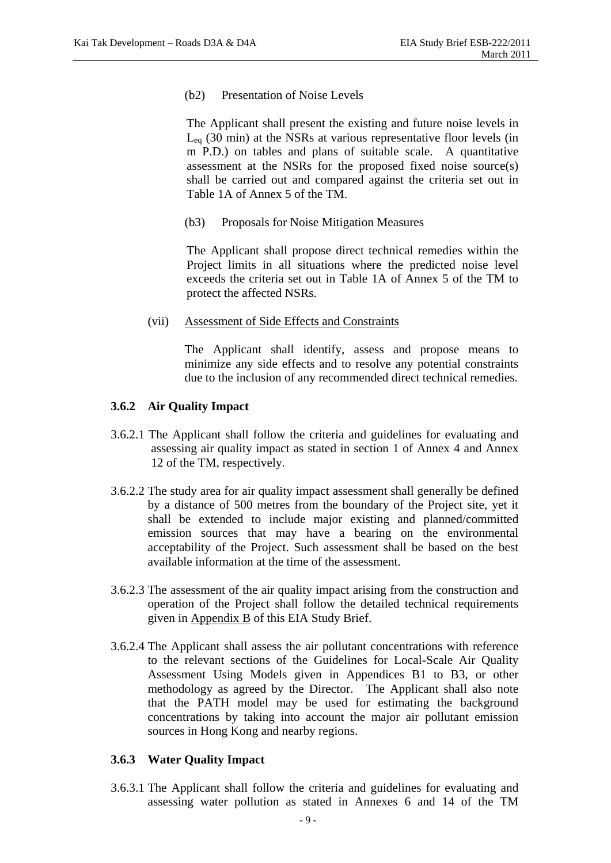(b2) Presentation of Noise Levels

The Applicant shall present the existing and future noise levels in  $L_{eq}$  (30 min) at the NSRs at various representative floor levels (in m P.D.) on tables and plans of suitable scale. A quantitative assessment at the NSRs for the proposed fixed noise source(s) shall be carried out and compared against the criteria set out in Table 1A of Annex 5 of the TM.

(b3) Proposals for Noise Mitigation Measures

The Applicant shall propose direct technical remedies within the Project limits in all situations where the predicted noise level exceeds the criteria set out in Table 1A of Annex 5 of the TM to protect the affected NSRs.

(vii) Assessment of Side Effects and Constraints

The Applicant shall identify, assess and propose means to minimize any side effects and to resolve any potential constraints due to the inclusion of any recommended direct technical remedies.

#### **3.6.2 Air Quality Impact**

- 3.6.2.1 The Applicant shall follow the criteria and guidelines for evaluating and assessing air quality impact as stated in section 1 of Annex 4 and Annex 12 of the TM, respectively.
- 3.6.2.2 The study area for air quality impact assessment shall generally be defined by a distance of 500 metres from the boundary of the Project site, yet it shall be extended to include major existing and planned/committed emission sources that may have a bearing on the environmental acceptability of the Project. Such assessment shall be based on the best available information at the time of the assessment.
- 3.6.2.3 The assessment of the air quality impact arising from the construction and operation of the Project shall follow the detailed technical requirements given in  $\Delta$ ppendix  $\overline{B}$  of this EIA Study Brief.
- 3.6.2.4 The Applicant shall assess the air pollutant concentrations with reference to the relevant sections of the Guidelines for Local-Scale Air Quality Assessment Using Models given in Appendices B1 to B3, or other methodology as agreed by the Director. The Applicant shall also note that the PATH model may be used for estimating the background concentrations by taking into account the major air pollutant emission sources in Hong Kong and nearby regions.

#### **3.6.3 Water Quality Impact**

3.6.3.1 The Applicant shall follow the criteria and guidelines for evaluating and assessing water pollution as stated in Annexes 6 and 14 of the TM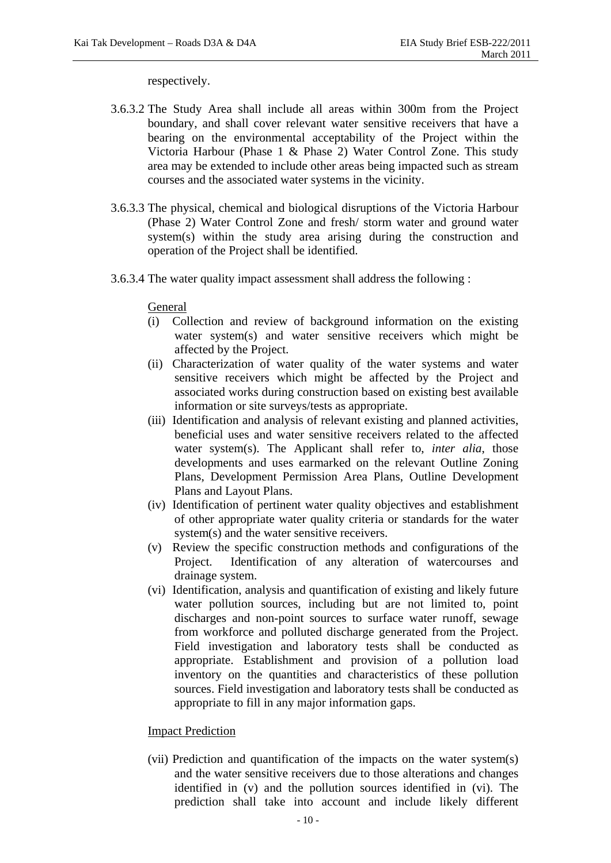#### respectively.

- 3.6.3.2 The Study Area shall include all areas within 300m from the Project boundary, and shall cover relevant water sensitive receivers that have a bearing on the environmental acceptability of the Project within the Victoria Harbour (Phase 1 & Phase 2) Water Control Zone. This study area may be extended to include other areas being impacted such as stream courses and the associated water systems in the vicinity.
- 3.6.3.3 The physical, chemical and biological disruptions of the Victoria Harbour (Phase 2) Water Control Zone and fresh/ storm water and ground water system(s) within the study area arising during the construction and operation of the Project shall be identified.
- 3.6.3.4 The water quality impact assessment shall address the following :

#### General

- (i) Collection and review of background information on the existing water system(s) and water sensitive receivers which might be affected by the Project.
- (ii) Characterization of water quality of the water systems and water sensitive receivers which might be affected by the Project and associated works during construction based on existing best available information or site surveys/tests as appropriate.
- (iii) Identification and analysis of relevant existing and planned activities, beneficial uses and water sensitive receivers related to the affected water system(s). The Applicant shall refer to, *inter alia*, those developments and uses earmarked on the relevant Outline Zoning Plans, Development Permission Area Plans, Outline Development Plans and Layout Plans.
- (iv) Identification of pertinent water quality objectives and establishment of other appropriate water quality criteria or standards for the water system(s) and the water sensitive receivers.
- (v) Review the specific construction methods and configurations of the Project. Identification of any alteration of watercourses and drainage system.
- (vi) Identification, analysis and quantification of existing and likely future water pollution sources, including but are not limited to, point discharges and non-point sources to surface water runoff, sewage from workforce and polluted discharge generated from the Project. Field investigation and laboratory tests shall be conducted as appropriate. Establishment and provision of a pollution load inventory on the quantities and characteristics of these pollution sources. Field investigation and laboratory tests shall be conducted as appropriate to fill in any major information gaps.

#### **Impact Prediction**

(vii) Prediction and quantification of the impacts on the water system(s) and the water sensitive receivers due to those alterations and changes identified in (v) and the pollution sources identified in (vi). The prediction shall take into account and include likely different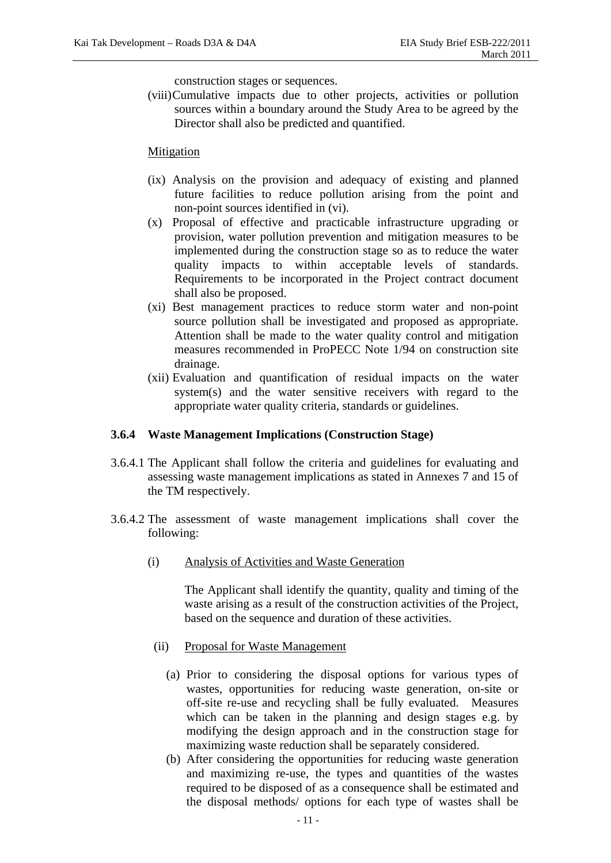construction stages or sequences.

(viii)Cumulative impacts due to other projects, activities or pollution sources within a boundary around the Study Area to be agreed by the Director shall also be predicted and quantified.

#### Mitigation

- (ix) Analysis on the provision and adequacy of existing and planned future facilities to reduce pollution arising from the point and non-point sources identified in (vi).
- (x) Proposal of effective and practicable infrastructure upgrading or provision, water pollution prevention and mitigation measures to be implemented during the construction stage so as to reduce the water quality impacts to within acceptable levels of standards. Requirements to be incorporated in the Project contract document shall also be proposed.
- (xi) Best management practices to reduce storm water and non-point source pollution shall be investigated and proposed as appropriate. Attention shall be made to the water quality control and mitigation measures recommended in ProPECC Note 1/94 on construction site drainage.
- (xii) Evaluation and quantification of residual impacts on the water system(s) and the water sensitive receivers with regard to the appropriate water quality criteria, standards or guidelines.

#### **3.6.4 Waste Management Implications (Construction Stage)**

- 3.6.4.1 The Applicant shall follow the criteria and guidelines for evaluating and assessing waste management implications as stated in Annexes 7 and 15 of the TM respectively.
- 3.6.4.2 The assessment of waste management implications shall cover the following:
	- (i) Analysis of Activities and Waste Generation

The Applicant shall identify the quantity, quality and timing of the waste arising as a result of the construction activities of the Project, based on the sequence and duration of these activities.

- (ii) Proposal for Waste Management
	- (a) Prior to considering the disposal options for various types of wastes, opportunities for reducing waste generation, on-site or off-site re-use and recycling shall be fully evaluated. Measures which can be taken in the planning and design stages e.g. by modifying the design approach and in the construction stage for maximizing waste reduction shall be separately considered.
	- (b) After considering the opportunities for reducing waste generation and maximizing re-use, the types and quantities of the wastes required to be disposed of as a consequence shall be estimated and the disposal methods/ options for each type of wastes shall be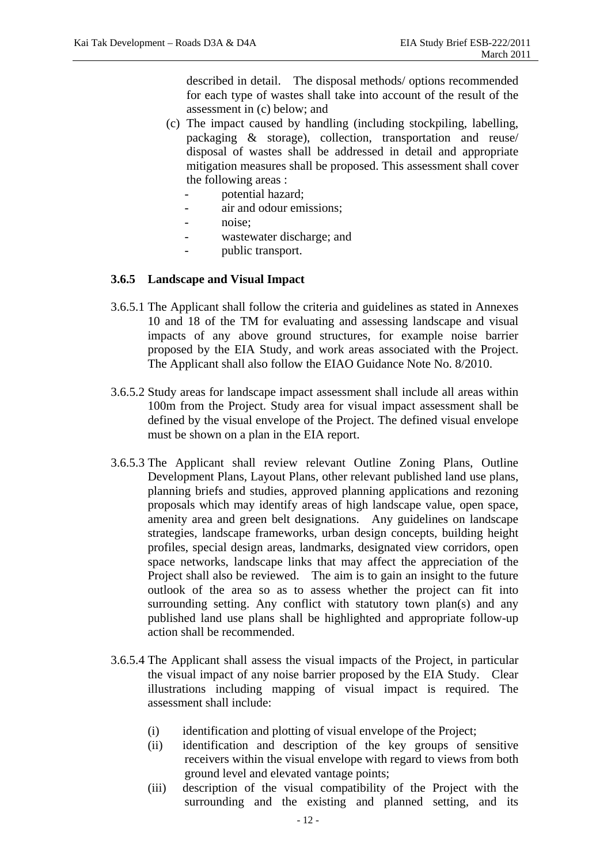described in detail. The disposal methods/ options recommended for each type of wastes shall take into account of the result of the assessment in (c) below; and

- (c) The impact caused by handling (including stockpiling, labelling, packaging & storage), collection, transportation and reuse/ disposal of wastes shall be addressed in detail and appropriate mitigation measures shall be proposed. This assessment shall cover the following areas :
	- potential hazard;
	- air and odour emissions;
	- noise:
	- wastewater discharge; and
	- public transport.

#### **3.6.5 Landscape and Visual Impact**

- 3.6.5.1 The Applicant shall follow the criteria and guidelines as stated in Annexes 10 and 18 of the TM for evaluating and assessing landscape and visual impacts of any above ground structures, for example noise barrier proposed by the EIA Study, and work areas associated with the Project. The Applicant shall also follow the EIAO Guidance Note No. 8/2010.
- 3.6.5.2 Study areas for landscape impact assessment shall include all areas within 100m from the Project. Study area for visual impact assessment shall be defined by the visual envelope of the Project. The defined visual envelope must be shown on a plan in the EIA report.
- 3.6.5.3 The Applicant shall review relevant Outline Zoning Plans, Outline Development Plans, Layout Plans, other relevant published land use plans, planning briefs and studies, approved planning applications and rezoning proposals which may identify areas of high landscape value, open space, amenity area and green belt designations. Any guidelines on landscape strategies, landscape frameworks, urban design concepts, building height profiles, special design areas, landmarks, designated view corridors, open space networks, landscape links that may affect the appreciation of the Project shall also be reviewed. The aim is to gain an insight to the future outlook of the area so as to assess whether the project can fit into surrounding setting. Any conflict with statutory town plan(s) and any published land use plans shall be highlighted and appropriate follow-up action shall be recommended.
- 3.6.5.4 The Applicant shall assess the visual impacts of the Project, in particular the visual impact of any noise barrier proposed by the EIA Study. Clear illustrations including mapping of visual impact is required. The assessment shall include:
	- (i) identification and plotting of visual envelope of the Project;
	- (ii) identification and description of the key groups of sensitive receivers within the visual envelope with regard to views from both ground level and elevated vantage points;
	- (iii) description of the visual compatibility of the Project with the surrounding and the existing and planned setting, and its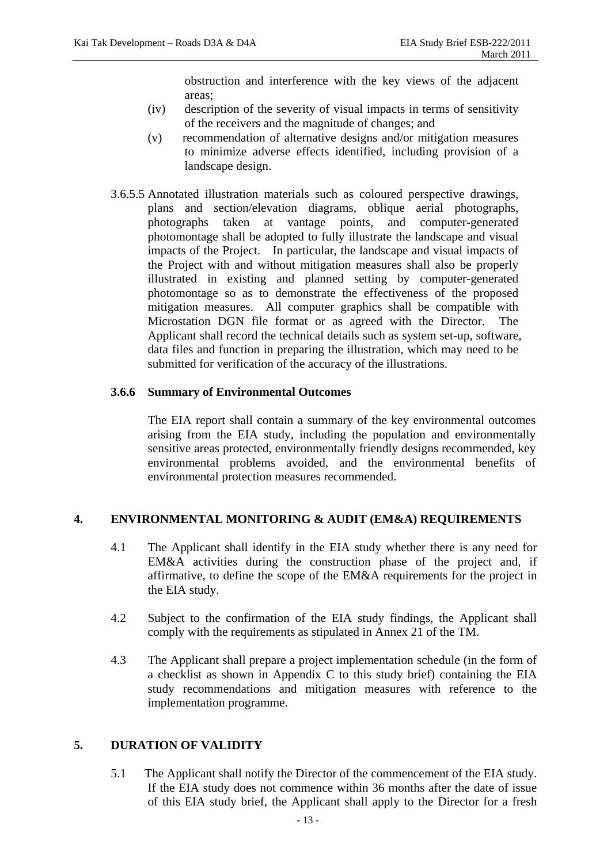obstruction and interference with the key views of the adjacent areas;

- (iv) description of the severity of visual impacts in terms of sensitivity of the receivers and the magnitude of changes; and
- (v) recommendation of alternative designs and/or mitigation measures to minimize adverse effects identified, including provision of a landscape design.
- 3.6.5.5 Annotated illustration materials such as coloured perspective drawings, plans and section/elevation diagrams, oblique aerial photographs, photographs taken at vantage points, and computer-generated photomontage shall be adopted to fully illustrate the landscape and visual impacts of the Project. In particular, the landscape and visual impacts of the Project with and without mitigation measures shall also be properly illustrated in existing and planned setting by computer-generated photomontage so as to demonstrate the effectiveness of the proposed mitigation measures. All computer graphics shall be compatible with Microstation DGN file format or as agreed with the Director. The Applicant shall record the technical details such as system set-up, software, data files and function in preparing the illustration, which may need to be submitted for verification of the accuracy of the illustrations.

## **3.6.6 Summary of Environmental Outcomes**

The EIA report shall contain a summary of the key environmental outcomes arising from the EIA study, including the population and environmentally sensitive areas protected, environmentally friendly designs recommended, key environmental problems avoided, and the environmental benefits of environmental protection measures recommended.

## **4. ENVIRONMENTAL MONITORING & AUDIT (EM&A) REQUIREMENTS**

- 4.1 The Applicant shall identify in the EIA study whether there is any need for EM&A activities during the construction phase of the project and, if affirmative, to define the scope of the EM&A requirements for the project in the EIA study.
- 4.2 Subject to the confirmation of the EIA study findings, the Applicant shall comply with the requirements as stipulated in Annex 21 of the TM.
- 4.3 The Applicant shall prepare a project implementation schedule (in the form of a checklist as shown in Appendix C to this study brief) containing the EIA study recommendations and mitigation measures with reference to the implementation programme.

## **5. DURATION OF VALIDITY**

5.1 The Applicant shall notify the Director of the commencement of the EIA study. If the EIA study does not commence within 36 months after the date of issue of this EIA study brief, the Applicant shall apply to the Director for a fresh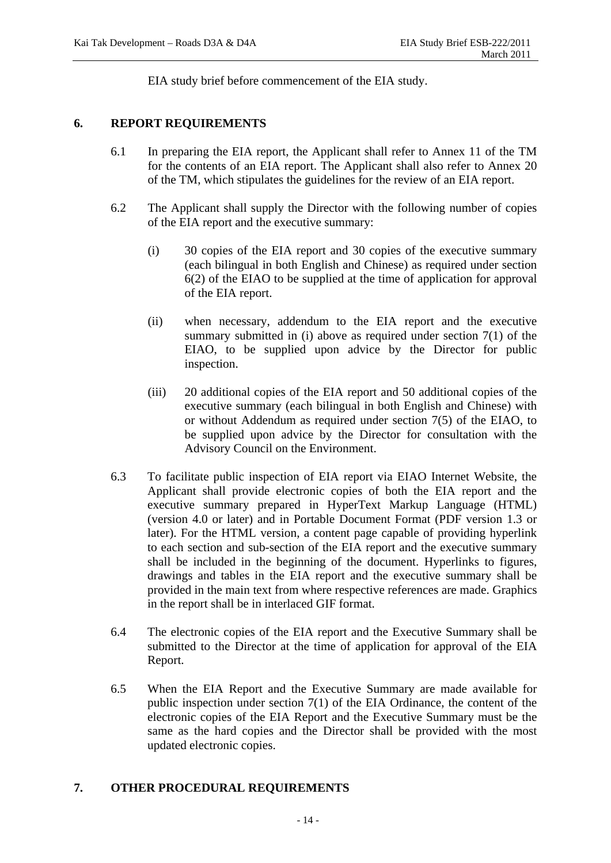EIA study brief before commencement of the EIA study.

## **6. REPORT REQUIREMENTS**

- 6.1 In preparing the EIA report, the Applicant shall refer to Annex 11 of the TM for the contents of an EIA report. The Applicant shall also refer to Annex 20 of the TM, which stipulates the guidelines for the review of an EIA report.
- 6.2 The Applicant shall supply the Director with the following number of copies of the EIA report and the executive summary:
	- (i) 30 copies of the EIA report and 30 copies of the executive summary (each bilingual in both English and Chinese) as required under section 6(2) of the EIAO to be supplied at the time of application for approval of the EIA report.
	- (ii) when necessary, addendum to the EIA report and the executive summary submitted in (i) above as required under section  $7(1)$  of the EIAO, to be supplied upon advice by the Director for public inspection.
	- (iii) 20 additional copies of the EIA report and 50 additional copies of the executive summary (each bilingual in both English and Chinese) with or without Addendum as required under section 7(5) of the EIAO, to be supplied upon advice by the Director for consultation with the Advisory Council on the Environment.
- 6.3 To facilitate public inspection of EIA report via EIAO Internet Website, the Applicant shall provide electronic copies of both the EIA report and the executive summary prepared in HyperText Markup Language (HTML) (version 4.0 or later) and in Portable Document Format (PDF version 1.3 or later). For the HTML version, a content page capable of providing hyperlink to each section and sub-section of the EIA report and the executive summary shall be included in the beginning of the document. Hyperlinks to figures, drawings and tables in the EIA report and the executive summary shall be provided in the main text from where respective references are made. Graphics in the report shall be in interlaced GIF format.
- 6.4 The electronic copies of the EIA report and the Executive Summary shall be submitted to the Director at the time of application for approval of the EIA Report.
- 6.5 When the EIA Report and the Executive Summary are made available for public inspection under section 7(1) of the EIA Ordinance, the content of the electronic copies of the EIA Report and the Executive Summary must be the same as the hard copies and the Director shall be provided with the most updated electronic copies.

## **7. OTHER PROCEDURAL REQUIREMENTS**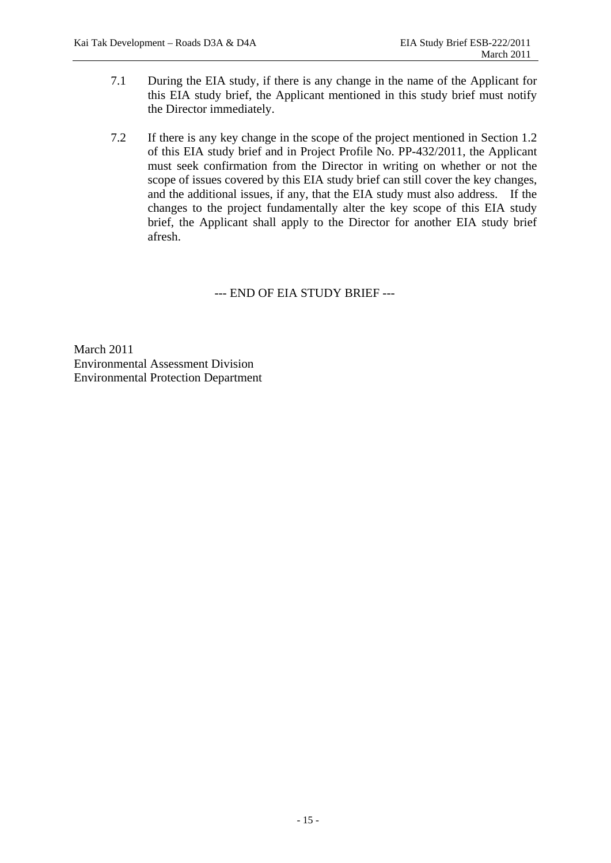- 7.1 During the EIA study, if there is any change in the name of the Applicant for this EIA study brief, the Applicant mentioned in this study brief must notify the Director immediately.
- 7.2 If there is any key change in the scope of the project mentioned in Section 1.2 of this EIA study brief and in Project Profile No. PP-432/2011, the Applicant must seek confirmation from the Director in writing on whether or not the scope of issues covered by this EIA study brief can still cover the key changes, and the additional issues, if any, that the EIA study must also address. If the changes to the project fundamentally alter the key scope of this EIA study brief, the Applicant shall apply to the Director for another EIA study brief afresh.

--- END OF EIA STUDY BRIEF ---

March 2011 Environmental Assessment Division Environmental Protection Department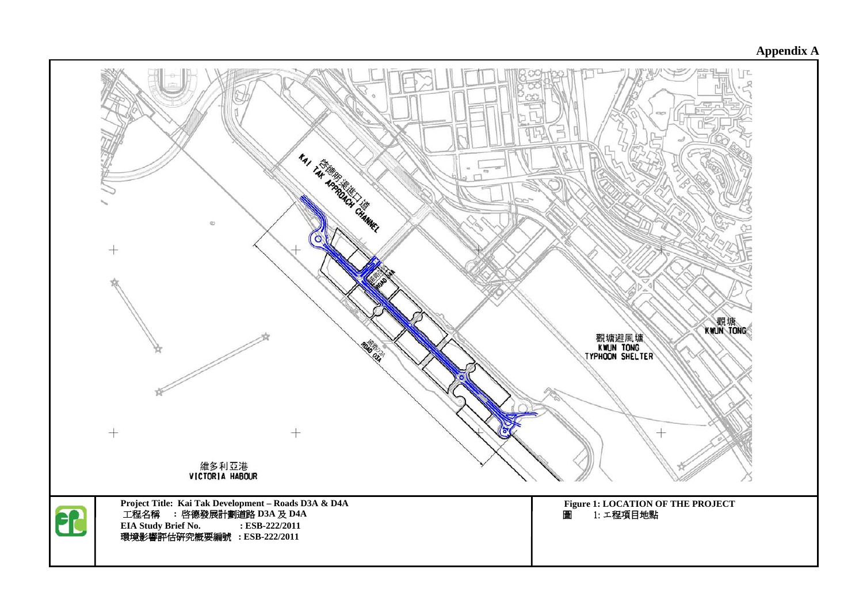# **Appendix A**

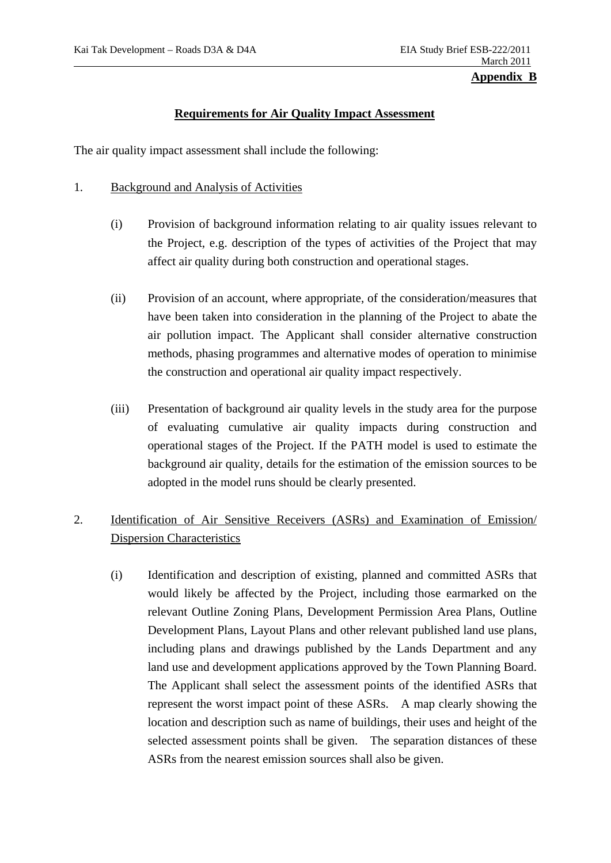## **Requirements for Air Quality Impact Assessment**

The air quality impact assessment shall include the following:

#### 1. Background and Analysis of Activities

- (i) Provision of background information relating to air quality issues relevant to the Project, e.g. description of the types of activities of the Project that may affect air quality during both construction and operational stages.
- (ii) Provision of an account, where appropriate, of the consideration/measures that have been taken into consideration in the planning of the Project to abate the air pollution impact. The Applicant shall consider alternative construction methods, phasing programmes and alternative modes of operation to minimise the construction and operational air quality impact respectively.
- (iii) Presentation of background air quality levels in the study area for the purpose of evaluating cumulative air quality impacts during construction and operational stages of the Project. If the PATH model is used to estimate the background air quality, details for the estimation of the emission sources to be adopted in the model runs should be clearly presented.

# 2. Identification of Air Sensitive Receivers (ASRs) and Examination of Emission/ Dispersion Characteristics

(i) Identification and description of existing, planned and committed ASRs that would likely be affected by the Project, including those earmarked on the relevant Outline Zoning Plans, Development Permission Area Plans, Outline Development Plans, Layout Plans and other relevant published land use plans, including plans and drawings published by the Lands Department and any land use and development applications approved by the Town Planning Board. The Applicant shall select the assessment points of the identified ASRs that represent the worst impact point of these ASRs. A map clearly showing the location and description such as name of buildings, their uses and height of the selected assessment points shall be given. The separation distances of these ASRs from the nearest emission sources shall also be given.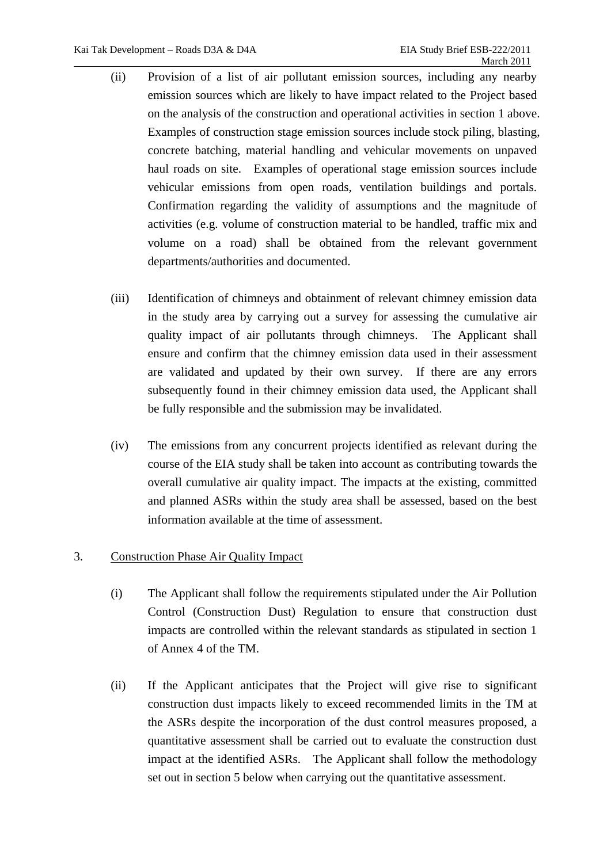- (ii) Provision of a list of air pollutant emission sources, including any nearby emission sources which are likely to have impact related to the Project based on the analysis of the construction and operational activities in section 1 above. Examples of construction stage emission sources include stock piling, blasting, concrete batching, material handling and vehicular movements on unpaved haul roads on site. Examples of operational stage emission sources include vehicular emissions from open roads, ventilation buildings and portals. Confirmation regarding the validity of assumptions and the magnitude of activities (e.g. volume of construction material to be handled, traffic mix and volume on a road) shall be obtained from the relevant government departments/authorities and documented.
- (iii) Identification of chimneys and obtainment of relevant chimney emission data in the study area by carrying out a survey for assessing the cumulative air quality impact of air pollutants through chimneys. The Applicant shall ensure and confirm that the chimney emission data used in their assessment are validated and updated by their own survey. If there are any errors subsequently found in their chimney emission data used, the Applicant shall be fully responsible and the submission may be invalidated.
- (iv) The emissions from any concurrent projects identified as relevant during the course of the EIA study shall be taken into account as contributing towards the overall cumulative air quality impact. The impacts at the existing, committed and planned ASRs within the study area shall be assessed, based on the best information available at the time of assessment.

## 3. Construction Phase Air Quality Impact

- (i) The Applicant shall follow the requirements stipulated under the Air Pollution Control (Construction Dust) Regulation to ensure that construction dust impacts are controlled within the relevant standards as stipulated in section 1 of Annex 4 of the TM.
- (ii) If the Applicant anticipates that the Project will give rise to significant construction dust impacts likely to exceed recommended limits in the TM at the ASRs despite the incorporation of the dust control measures proposed, a quantitative assessment shall be carried out to evaluate the construction dust impact at the identified ASRs. The Applicant shall follow the methodology set out in section 5 below when carrying out the quantitative assessment.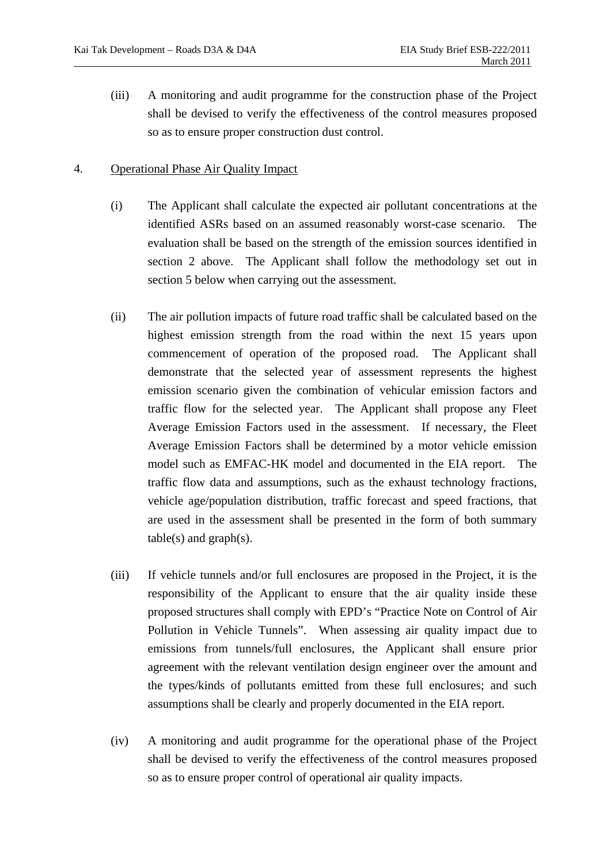(iii) A monitoring and audit programme for the construction phase of the Project shall be devised to verify the effectiveness of the control measures proposed so as to ensure proper construction dust control.

### 4. Operational Phase Air Quality Impact

- (i) The Applicant shall calculate the expected air pollutant concentrations at the identified ASRs based on an assumed reasonably worst-case scenario. The evaluation shall be based on the strength of the emission sources identified in section 2 above. The Applicant shall follow the methodology set out in section 5 below when carrying out the assessment.
- (ii) The air pollution impacts of future road traffic shall be calculated based on the highest emission strength from the road within the next 15 years upon commencement of operation of the proposed road. The Applicant shall demonstrate that the selected year of assessment represents the highest emission scenario given the combination of vehicular emission factors and traffic flow for the selected year. The Applicant shall propose any Fleet Average Emission Factors used in the assessment. If necessary, the Fleet Average Emission Factors shall be determined by a motor vehicle emission model such as EMFAC-HK model and documented in the EIA report. The traffic flow data and assumptions, such as the exhaust technology fractions, vehicle age/population distribution, traffic forecast and speed fractions, that are used in the assessment shall be presented in the form of both summary  $table(s)$  and  $graph(s)$ .
- (iii) If vehicle tunnels and/or full enclosures are proposed in the Project, it is the responsibility of the Applicant to ensure that the air quality inside these proposed structures shall comply with EPD's "Practice Note on Control of Air Pollution in Vehicle Tunnels". When assessing air quality impact due to emissions from tunnels/full enclosures, the Applicant shall ensure prior agreement with the relevant ventilation design engineer over the amount and the types/kinds of pollutants emitted from these full enclosures; and such assumptions shall be clearly and properly documented in the EIA report.
- (iv) A monitoring and audit programme for the operational phase of the Project shall be devised to verify the effectiveness of the control measures proposed so as to ensure proper control of operational air quality impacts.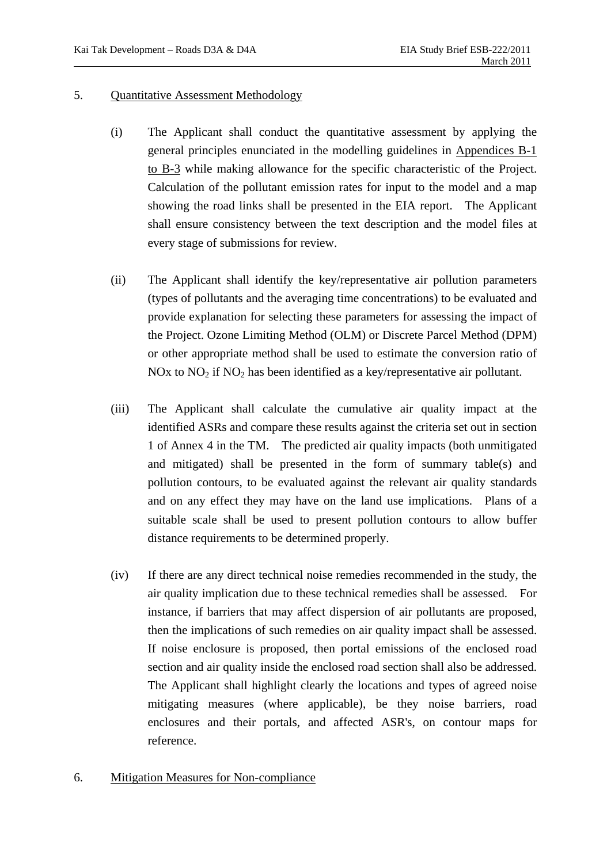#### 5. Quantitative Assessment Methodology

- (i) The Applicant shall conduct the quantitative assessment by applying the general principles enunciated in the modelling guidelines in Appendices B-1 to B-3 while making allowance for the specific characteristic of the Project. Calculation of the pollutant emission rates for input to the model and a map showing the road links shall be presented in the EIA report. The Applicant shall ensure consistency between the text description and the model files at every stage of submissions for review.
- (ii) The Applicant shall identify the key/representative air pollution parameters (types of pollutants and the averaging time concentrations) to be evaluated and provide explanation for selecting these parameters for assessing the impact of the Project. Ozone Limiting Method (OLM) or Discrete Parcel Method (DPM) or other appropriate method shall be used to estimate the conversion ratio of NOx to  $NO<sub>2</sub>$  if  $NO<sub>2</sub>$  has been identified as a key/representative air pollutant.
- (iii) The Applicant shall calculate the cumulative air quality impact at the identified ASRs and compare these results against the criteria set out in section 1 of Annex 4 in the TM. The predicted air quality impacts (both unmitigated and mitigated) shall be presented in the form of summary table(s) and pollution contours, to be evaluated against the relevant air quality standards and on any effect they may have on the land use implications. Plans of a suitable scale shall be used to present pollution contours to allow buffer distance requirements to be determined properly.
- (iv) If there are any direct technical noise remedies recommended in the study, the air quality implication due to these technical remedies shall be assessed. For instance, if barriers that may affect dispersion of air pollutants are proposed, then the implications of such remedies on air quality impact shall be assessed. If noise enclosure is proposed, then portal emissions of the enclosed road section and air quality inside the enclosed road section shall also be addressed. The Applicant shall highlight clearly the locations and types of agreed noise mitigating measures (where applicable), be they noise barriers, road enclosures and their portals, and affected ASR's, on contour maps for reference.

## 6. Mitigation Measures for Non-compliance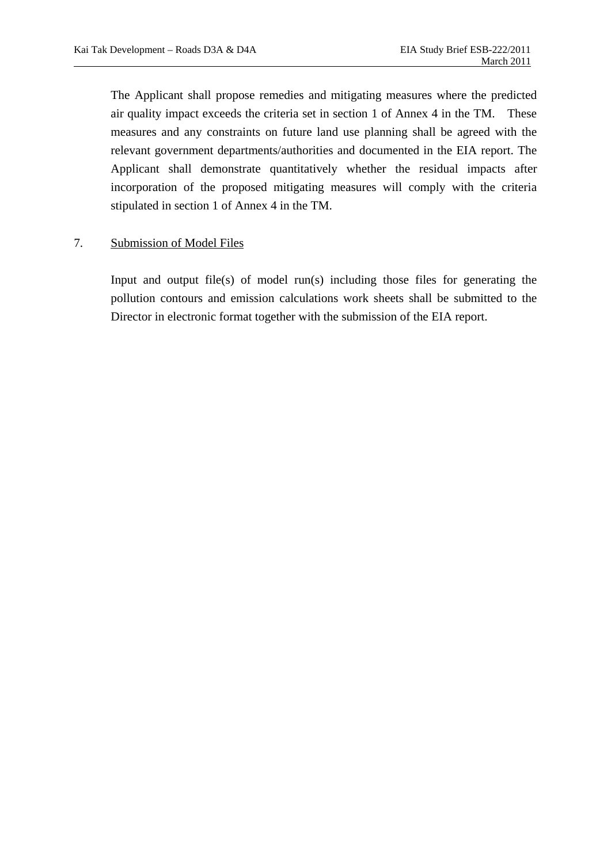The Applicant shall propose remedies and mitigating measures where the predicted air quality impact exceeds the criteria set in section 1 of Annex 4 in the TM. These measures and any constraints on future land use planning shall be agreed with the relevant government departments/authorities and documented in the EIA report. The Applicant shall demonstrate quantitatively whether the residual impacts after incorporation of the proposed mitigating measures will comply with the criteria stipulated in section 1 of Annex 4 in the TM.

## 7. Submission of Model Files

Input and output file(s) of model run(s) including those files for generating the pollution contours and emission calculations work sheets shall be submitted to the Director in electronic format together with the submission of the EIA report.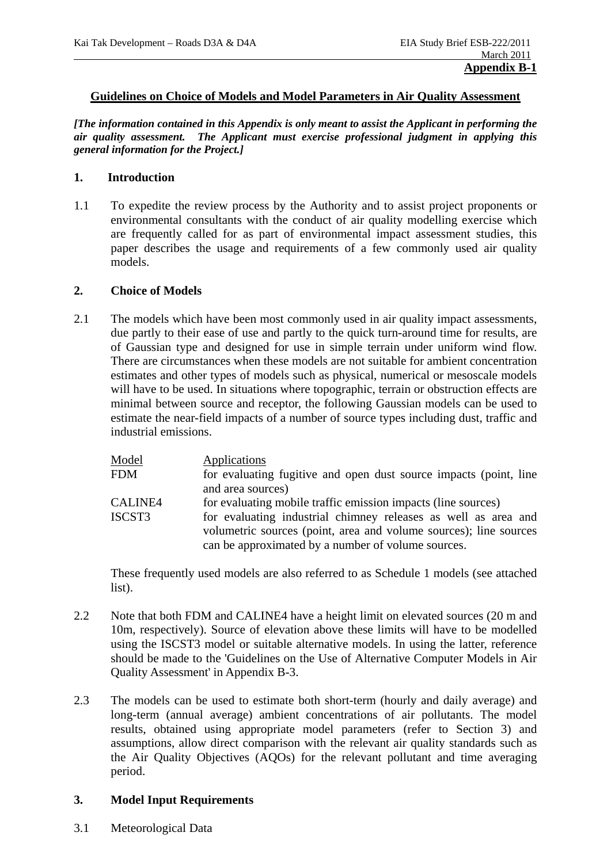#### **Guidelines on Choice of Models and Model Parameters in Air Quality Assessment**

*[The information contained in this Appendix is only meant to assist the Applicant in performing the air quality assessment. The Applicant must exercise professional judgment in applying this general information for the Project.]* 

### **1. Introduction**

1.1 To expedite the review process by the Authority and to assist project proponents or environmental consultants with the conduct of air quality modelling exercise which are frequently called for as part of environmental impact assessment studies, this paper describes the usage and requirements of a few commonly used air quality models.

#### **2. Choice of Models**

2.1 The models which have been most commonly used in air quality impact assessments, due partly to their ease of use and partly to the quick turn-around time for results, are of Gaussian type and designed for use in simple terrain under uniform wind flow. There are circumstances when these models are not suitable for ambient concentration estimates and other types of models such as physical, numerical or mesoscale models will have to be used. In situations where topographic, terrain or obstruction effects are minimal between source and receptor, the following Gaussian models can be used to estimate the near-field impacts of a number of source types including dust, traffic and industrial emissions.

| Model          | Applications                                                                                                                        |
|----------------|-------------------------------------------------------------------------------------------------------------------------------------|
| <b>FDM</b>     | for evaluating fugitive and open dust source impacts (point, line                                                                   |
|                | and area sources)                                                                                                                   |
| <b>CALINE4</b> | for evaluating mobile traffic emission impacts (line sources)                                                                       |
| ISCST3         | for evaluating industrial chimney releases as well as area and<br>volumetric sources (point, area and volume sources); line sources |
|                | can be approximated by a number of volume sources.                                                                                  |

 These frequently used models are also referred to as Schedule 1 models (see attached list).

- 2.2 Note that both FDM and CALINE4 have a height limit on elevated sources (20 m and 10m, respectively). Source of elevation above these limits will have to be modelled using the ISCST3 model or suitable alternative models. In using the latter, reference should be made to the 'Guidelines on the Use of Alternative Computer Models in Air Quality Assessment' in Appendix B-3.
- 2.3 The models can be used to estimate both short-term (hourly and daily average) and long-term (annual average) ambient concentrations of air pollutants. The model results, obtained using appropriate model parameters (refer to Section 3) and assumptions, allow direct comparison with the relevant air quality standards such as the Air Quality Objectives (AQOs) for the relevant pollutant and time averaging period.

#### **3. Model Input Requirements**

3.1 Meteorological Data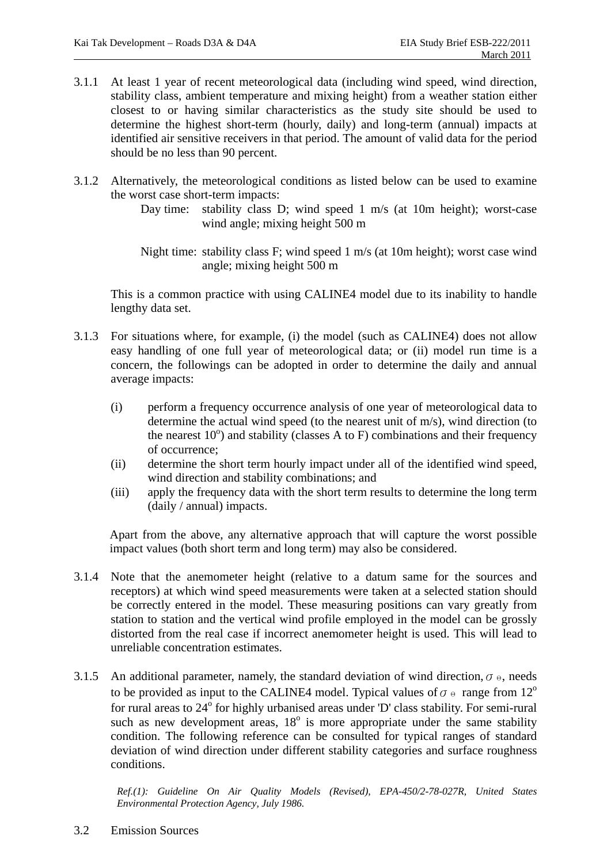- 3.1.1 At least 1 year of recent meteorological data (including wind speed, wind direction, stability class, ambient temperature and mixing height) from a weather station either closest to or having similar characteristics as the study site should be used to determine the highest short-term (hourly, daily) and long-term (annual) impacts at identified air sensitive receivers in that period. The amount of valid data for the period should be no less than 90 percent.
- 3.1.2 Alternatively, the meteorological conditions as listed below can be used to examine the worst case short-term impacts:

Day time: stability class D; wind speed 1 m/s (at 10m height); worst-case wind angle; mixing height 500 m

Night time: stability class F; wind speed 1 m/s (at 10m height); worst case wind angle; mixing height 500 m

 This is a common practice with using CALINE4 model due to its inability to handle lengthy data set.

- 3.1.3 For situations where, for example, (i) the model (such as CALINE4) does not allow easy handling of one full year of meteorological data; or (ii) model run time is a concern, the followings can be adopted in order to determine the daily and annual average impacts:
	- (i) perform a frequency occurrence analysis of one year of meteorological data to determine the actual wind speed (to the nearest unit of m/s), wind direction (to the nearest  $10^{\circ}$ ) and stability (classes A to F) combinations and their frequency of occurrence;
	- (ii) determine the short term hourly impact under all of the identified wind speed, wind direction and stability combinations; and
	- (iii) apply the frequency data with the short term results to determine the long term (daily / annual) impacts.

Apart from the above, any alternative approach that will capture the worst possible impact values (both short term and long term) may also be considered.

- 3.1.4 Note that the anemometer height (relative to a datum same for the sources and receptors) at which wind speed measurements were taken at a selected station should be correctly entered in the model. These measuring positions can vary greatly from station to station and the vertical wind profile employed in the model can be grossly distorted from the real case if incorrect anemometer height is used. This will lead to unreliable concentration estimates.
- 3.1.5 An additional parameter, namely, the standard deviation of wind direction,  $\sigma_{\theta}$ , needs to be provided as input to the CALINE4 model. Typical values of  $\sigma \circ$  range from 12<sup>o</sup> for rural areas to 24° for highly urbanised areas under 'D' class stability. For semi-rural such as new development areas,  $18^\circ$  is more appropriate under the same stability condition. The following reference can be consulted for typical ranges of standard deviation of wind direction under different stability categories and surface roughness conditions.

*Ref.(1): Guideline On Air Quality Models (Revised), EPA-450/2-78-027R, United States Environmental Protection Agency, July 1986.* 

3.2 Emission Sources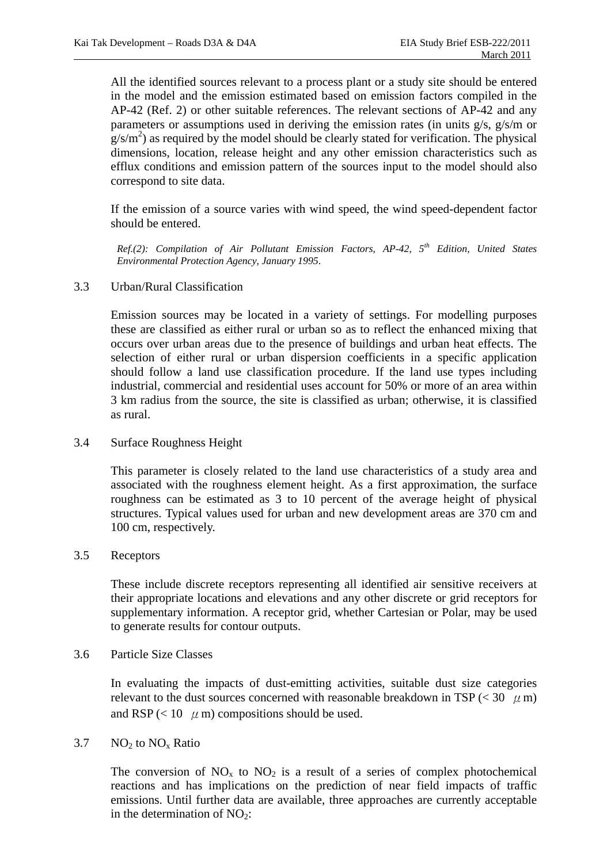All the identified sources relevant to a process plant or a study site should be entered in the model and the emission estimated based on emission factors compiled in the AP-42 (Ref. 2) or other suitable references. The relevant sections of AP-42 and any parameters or assumptions used in deriving the emission rates (in units g/s, g/s/m or  $g/s/m<sup>2</sup>$ ) as required by the model should be clearly stated for verification. The physical dimensions, location, release height and any other emission characteristics such as efflux conditions and emission pattern of the sources input to the model should also correspond to site data.

 If the emission of a source varies with wind speed, the wind speed-dependent factor should be entered.

*Ref.(2): Compilation of Air Pollutant Emission Factors, AP-42, 5th Edition, United States Environmental Protection Agency, January 1995*.

#### 3.3 Urban/Rural Classification

 Emission sources may be located in a variety of settings. For modelling purposes these are classified as either rural or urban so as to reflect the enhanced mixing that occurs over urban areas due to the presence of buildings and urban heat effects. The selection of either rural or urban dispersion coefficients in a specific application should follow a land use classification procedure. If the land use types including industrial, commercial and residential uses account for 50% or more of an area within 3 km radius from the source, the site is classified as urban; otherwise, it is classified as rural.

#### 3.4 Surface Roughness Height

 This parameter is closely related to the land use characteristics of a study area and associated with the roughness element height. As a first approximation, the surface roughness can be estimated as 3 to 10 percent of the average height of physical structures. Typical values used for urban and new development areas are 370 cm and 100 cm, respectively.

#### 3.5 Receptors

 These include discrete receptors representing all identified air sensitive receivers at their appropriate locations and elevations and any other discrete or grid receptors for supplementary information. A receptor grid, whether Cartesian or Polar, may be used to generate results for contour outputs.

#### 3.6 Particle Size Classes

 In evaluating the impacts of dust-emitting activities, suitable dust size categories relevant to the dust sources concerned with reasonable breakdown in TSP ( $<$  30  $\mu$  m) and RSP ( $< 10 \mu$ m) compositions should be used.

#### $3.7$  NO<sub>2</sub> to NO<sub>x</sub> Ratio

The conversion of  $NO<sub>x</sub>$  to  $NO<sub>2</sub>$  is a result of a series of complex photochemical reactions and has implications on the prediction of near field impacts of traffic emissions. Until further data are available, three approaches are currently acceptable in the determination of  $NO<sub>2</sub>$ :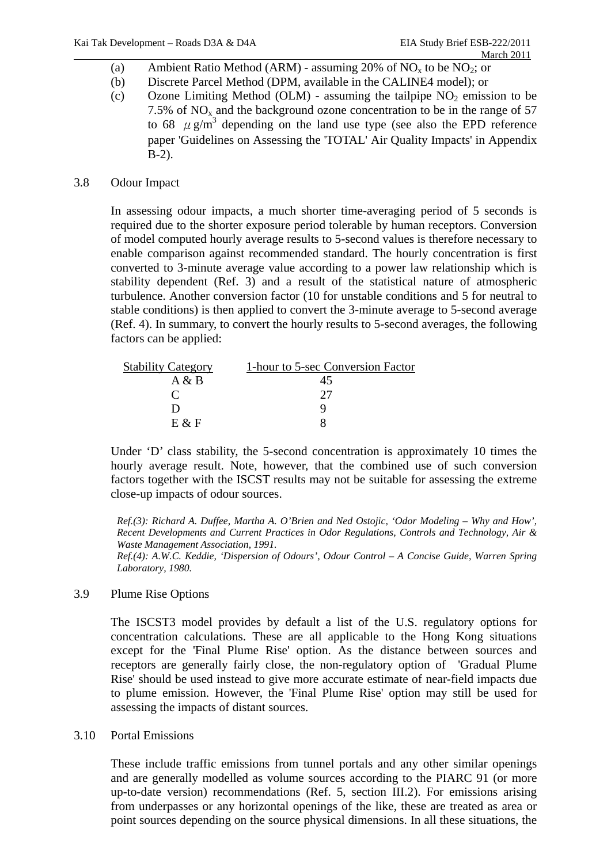- (a) Ambient Ratio Method (ARM) assuming 20% of  $NO<sub>x</sub>$  to be  $NO<sub>2</sub>$ ; or
- (b) Discrete Parcel Method (DPM, available in the CALINE4 model); or
- (c) Ozone Limiting Method (OLM) assuming the tailpipe  $NO<sub>2</sub>$  emission to be 7.5% of  $NO<sub>x</sub>$  and the background ozone concentration to be in the range of 57 to 68  $\mu$  g/m<sup>3</sup> depending on the land use type (see also the EPD reference paper 'Guidelines on Assessing the 'TOTAL' Air Quality Impacts' in Appendix B-2).

## 3.8 Odour Impact

 In assessing odour impacts, a much shorter time-averaging period of 5 seconds is required due to the shorter exposure period tolerable by human receptors. Conversion of model computed hourly average results to 5-second values is therefore necessary to enable comparison against recommended standard. The hourly concentration is first converted to 3-minute average value according to a power law relationship which is stability dependent (Ref. 3) and a result of the statistical nature of atmospheric turbulence. Another conversion factor (10 for unstable conditions and 5 for neutral to stable conditions) is then applied to convert the 3-minute average to 5-second average (Ref. 4). In summary, to convert the hourly results to 5-second averages, the following factors can be applied:

| <b>Stability Category</b> | 1-hour to 5-sec Conversion Factor |
|---------------------------|-----------------------------------|
| A & B                     | 45                                |
|                           |                                   |
|                           |                                   |
| $E \& F$                  |                                   |

Under 'D' class stability, the 5-second concentration is approximately 10 times the hourly average result. Note, however, that the combined use of such conversion factors together with the ISCST results may not be suitable for assessing the extreme close-up impacts of odour sources.

*Ref.(3): Richard A. Duffee, Martha A. O'Brien and Ned Ostojic, 'Odor Modeling – Why and How', Recent Developments and Current Practices in Odor Regulations, Controls and Technology, Air & Waste Management Association, 1991.* 

*Ref.(4): A.W.C. Keddie, 'Dispersion of Odours', Odour Control – A Concise Guide, Warren Spring Laboratory, 1980.* 

## 3.9 Plume Rise Options

 The ISCST3 model provides by default a list of the U.S. regulatory options for concentration calculations. These are all applicable to the Hong Kong situations except for the 'Final Plume Rise' option. As the distance between sources and receptors are generally fairly close, the non-regulatory option of 'Gradual Plume Rise' should be used instead to give more accurate estimate of near-field impacts due to plume emission. However, the 'Final Plume Rise' option may still be used for assessing the impacts of distant sources.

3.10 Portal Emissions

 These include traffic emissions from tunnel portals and any other similar openings and are generally modelled as volume sources according to the PIARC 91 (or more up-to-date version) recommendations (Ref. 5, section III.2). For emissions arising from underpasses or any horizontal openings of the like, these are treated as area or point sources depending on the source physical dimensions. In all these situations, the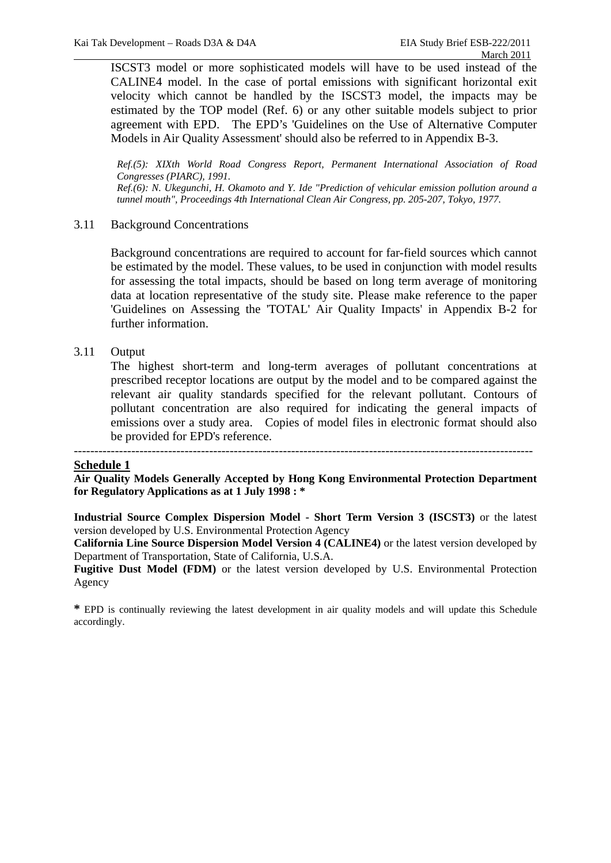ISCST3 model or more sophisticated models will have to be used instead of the CALINE4 model. In the case of portal emissions with significant horizontal exit velocity which cannot be handled by the ISCST3 model, the impacts may be estimated by the TOP model (Ref. 6) or any other suitable models subject to prior agreement with EPD. The EPD's 'Guidelines on the Use of Alternative Computer Models in Air Quality Assessment' should also be referred to in Appendix B-3.

*Ref.(5): XIXth World Road Congress Report, Permanent International Association of Road Congresses (PIARC), 1991. Ref.(6): N. Ukegunchi, H. Okamoto and Y. Ide "Prediction of vehicular emission pollution around a tunnel mouth", Proceedings 4th International Clean Air Congress, pp. 205-207, Tokyo, 1977.* 

#### 3.11 Background Concentrations

 Background concentrations are required to account for far-field sources which cannot be estimated by the model. These values, to be used in conjunction with model results for assessing the total impacts, should be based on long term average of monitoring data at location representative of the study site. Please make reference to the paper 'Guidelines on Assessing the 'TOTAL' Air Quality Impacts' in Appendix B-2 for further information.

#### 3.11 Output

 The highest short-term and long-term averages of pollutant concentrations at prescribed receptor locations are output by the model and to be compared against the relevant air quality standards specified for the relevant pollutant. Contours of pollutant concentration are also required for indicating the general impacts of emissions over a study area. Copies of model files in electronic format should also be provided for EPD's reference.

## **Schedule 1**

**Air Quality Models Generally Accepted by Hong Kong Environmental Protection Department for Regulatory Applications as at 1 July 1998 : \*** 

**Industrial Source Complex Dispersion Model - Short Term Version 3 (ISCST3)** or the latest version developed by U.S. Environmental Protection Agency

**California Line Source Dispersion Model Version 4 (CALINE4)** or the latest version developed by Department of Transportation, State of California, U.S.A.

**Fugitive Dust Model (FDM)** or the latest version developed by U.S. Environmental Protection Agency

**\*** EPD is continually reviewing the latest development in air quality models and will update this Schedule accordingly.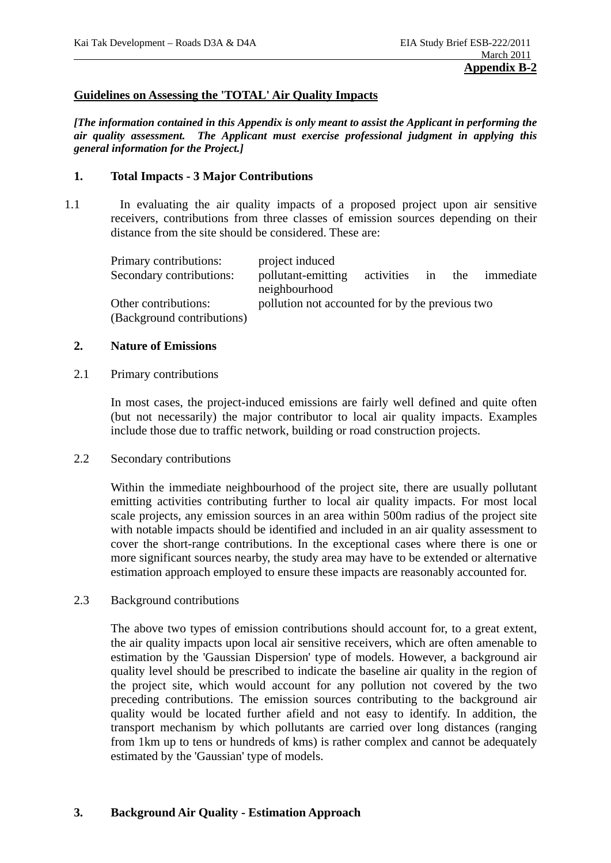### **Guidelines on Assessing the 'TOTAL' Air Quality Impacts**

*[The information contained in this Appendix is only meant to assist the Applicant in performing the air quality assessment. The Applicant must exercise professional judgment in applying this general information for the Project.]* 

#### **1. Total Impacts - 3 Major Contributions**

1.1 In evaluating the air quality impacts of a proposed project upon air sensitive receivers, contributions from three classes of emission sources depending on their distance from the site should be considered. These are:

| Primary contributions:     | project induced                                 |                   |  |  |           |
|----------------------------|-------------------------------------------------|-------------------|--|--|-----------|
| Secondary contributions:   | pollutant-emitting                              | activities in the |  |  | immediate |
|                            | neighbourhood                                   |                   |  |  |           |
| Other contributions:       | pollution not accounted for by the previous two |                   |  |  |           |
| (Background contributions) |                                                 |                   |  |  |           |

#### **2. Nature of Emissions**

#### 2.1 Primary contributions

 In most cases, the project-induced emissions are fairly well defined and quite often (but not necessarily) the major contributor to local air quality impacts. Examples include those due to traffic network, building or road construction projects.

2.2 Secondary contributions

 Within the immediate neighbourhood of the project site, there are usually pollutant emitting activities contributing further to local air quality impacts. For most local scale projects, any emission sources in an area within 500m radius of the project site with notable impacts should be identified and included in an air quality assessment to cover the short-range contributions. In the exceptional cases where there is one or more significant sources nearby, the study area may have to be extended or alternative estimation approach employed to ensure these impacts are reasonably accounted for.

2.3 Background contributions

 The above two types of emission contributions should account for, to a great extent, the air quality impacts upon local air sensitive receivers, which are often amenable to estimation by the 'Gaussian Dispersion' type of models. However, a background air quality level should be prescribed to indicate the baseline air quality in the region of the project site, which would account for any pollution not covered by the two preceding contributions. The emission sources contributing to the background air quality would be located further afield and not easy to identify. In addition, the transport mechanism by which pollutants are carried over long distances (ranging from 1km up to tens or hundreds of kms) is rather complex and cannot be adequately estimated by the 'Gaussian' type of models.

## **3. Background Air Quality - Estimation Approach**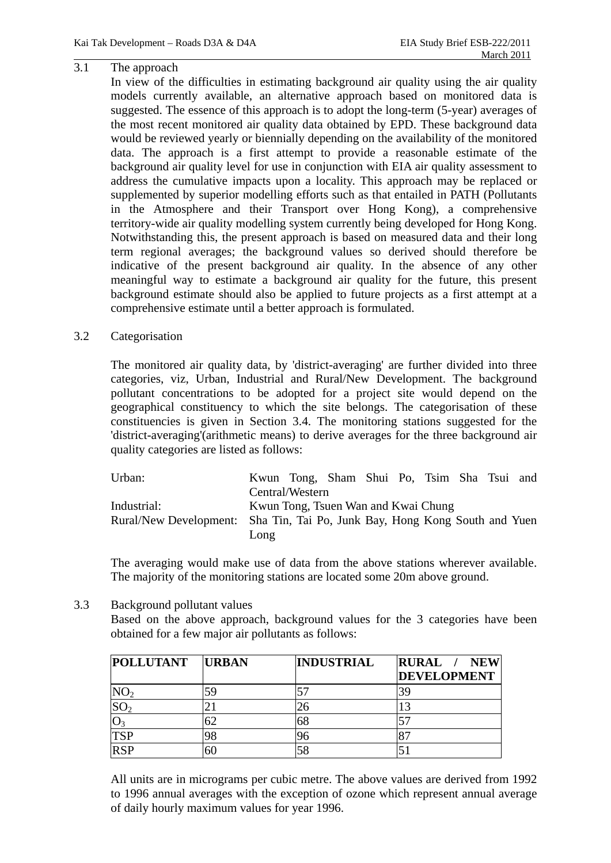### 3.1 The approach

 In view of the difficulties in estimating background air quality using the air quality models currently available, an alternative approach based on monitored data is suggested. The essence of this approach is to adopt the long-term (5-year) averages of the most recent monitored air quality data obtained by EPD. These background data would be reviewed yearly or biennially depending on the availability of the monitored data. The approach is a first attempt to provide a reasonable estimate of the background air quality level for use in conjunction with EIA air quality assessment to address the cumulative impacts upon a locality. This approach may be replaced or supplemented by superior modelling efforts such as that entailed in PATH (Pollutants in the Atmosphere and their Transport over Hong Kong), a comprehensive territory-wide air quality modelling system currently being developed for Hong Kong. Notwithstanding this, the present approach is based on measured data and their long term regional averages; the background values so derived should therefore be indicative of the present background air quality. In the absence of any other meaningful way to estimate a background air quality for the future, this present background estimate should also be applied to future projects as a first attempt at a comprehensive estimate until a better approach is formulated.

#### 3.2 Categorisation

 The monitored air quality data, by 'district-averaging' are further divided into three categories, viz, Urban, Industrial and Rural/New Development. The background pollutant concentrations to be adopted for a project site would depend on the geographical constituency to which the site belongs. The categorisation of these constituencies is given in Section 3.4. The monitoring stations suggested for the 'district-averaging'(arithmetic means) to derive averages for the three background air quality categories are listed as follows:

| Urban:                                                                     |                 | Kwun Tong, Sham Shui Po, Tsim Sha Tsui and |  |  |  |
|----------------------------------------------------------------------------|-----------------|--------------------------------------------|--|--|--|
|                                                                            | Central/Western |                                            |  |  |  |
| Industrial:                                                                |                 | Kwun Tong, Tsuen Wan and Kwai Chung        |  |  |  |
| Rural/New Development: Sha Tin, Tai Po, Junk Bay, Hong Kong South and Yuen |                 |                                            |  |  |  |
|                                                                            | Long            |                                            |  |  |  |

 The averaging would make use of data from the above stations wherever available. The majority of the monitoring stations are located some 20m above ground.

3.3 Background pollutant values

 Based on the above approach, background values for the 3 categories have been obtained for a few major air pollutants as follows:

| <b>POLLUTANT</b> | <b>URBAN</b> | <b>INDUSTRIAL</b> | RURAL /<br><b>NEW</b><br><b>DEVELOPMENT</b> |
|------------------|--------------|-------------------|---------------------------------------------|
| NO <sub>2</sub>  |              |                   | 39                                          |
| SO <sub>2</sub>  |              | 26                | 13                                          |
| $O_3$            | 62           | 68                |                                             |
| <b>TSP</b>       | 98           | 96                |                                             |
| <b>RSP</b>       | 60           | 58                |                                             |

 All units are in micrograms per cubic metre. The above values are derived from 1992 to 1996 annual averages with the exception of ozone which represent annual average of daily hourly maximum values for year 1996.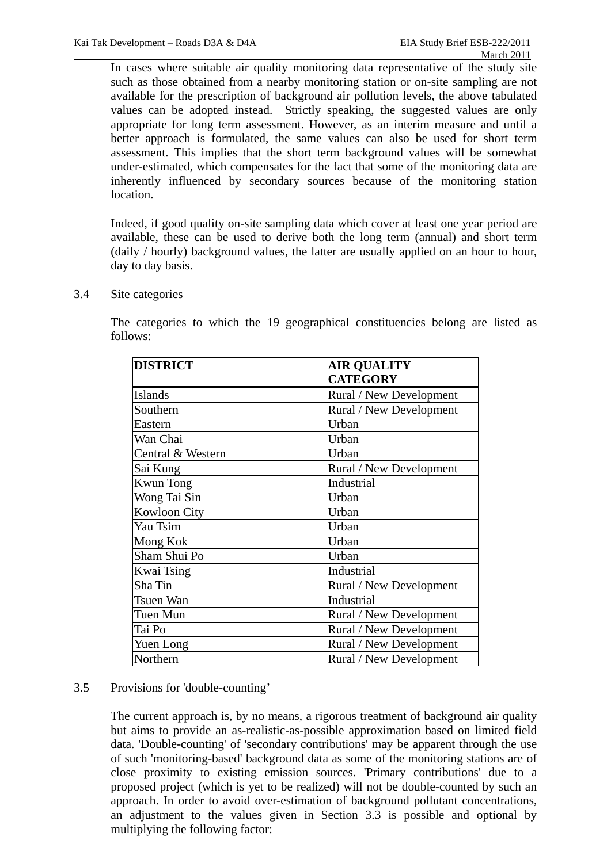In cases where suitable air quality monitoring data representative of the study site such as those obtained from a nearby monitoring station or on-site sampling are not available for the prescription of background air pollution levels, the above tabulated values can be adopted instead. Strictly speaking, the suggested values are only appropriate for long term assessment. However, as an interim measure and until a better approach is formulated, the same values can also be used for short term assessment. This implies that the short term background values will be somewhat under-estimated, which compensates for the fact that some of the monitoring data are inherently influenced by secondary sources because of the monitoring station location.

 Indeed, if good quality on-site sampling data which cover at least one year period are available, these can be used to derive both the long term (annual) and short term (daily / hourly) background values, the latter are usually applied on an hour to hour, day to day basis.

## 3.4 Site categories

 The categories to which the 19 geographical constituencies belong are listed as follows:

| <b>DISTRICT</b>     | <b>AIR QUALITY</b>      |
|---------------------|-------------------------|
|                     | <b>CATEGORY</b>         |
| <b>Islands</b>      | Rural / New Development |
| Southern            | Rural / New Development |
| Eastern             | Urban                   |
| Wan Chai            | Urban                   |
| Central & Western   | Urban                   |
| Sai Kung            | Rural / New Development |
| <b>Kwun Tong</b>    | Industrial              |
| Wong Tai Sin        | Urban                   |
| <b>Kowloon City</b> | Urban                   |
| Yau Tsim            | Urban                   |
| Mong Kok            | Urban                   |
| Sham Shui Po        | Urban                   |
| Kwai Tsing          | Industrial              |
| Sha Tin             | Rural / New Development |
| Tsuen Wan           | Industrial              |
| Tuen Mun            | Rural / New Development |
| Tai Po              | Rural / New Development |
| Yuen Long           | Rural / New Development |
| Northern            | Rural / New Development |

## 3.5 Provisions for 'double-counting'

 The current approach is, by no means, a rigorous treatment of background air quality but aims to provide an as-realistic-as-possible approximation based on limited field data. 'Double-counting' of 'secondary contributions' may be apparent through the use of such 'monitoring-based' background data as some of the monitoring stations are of close proximity to existing emission sources. 'Primary contributions' due to a proposed project (which is yet to be realized) will not be double-counted by such an approach. In order to avoid over-estimation of background pollutant concentrations, an adjustment to the values given in Section 3.3 is possible and optional by multiplying the following factor: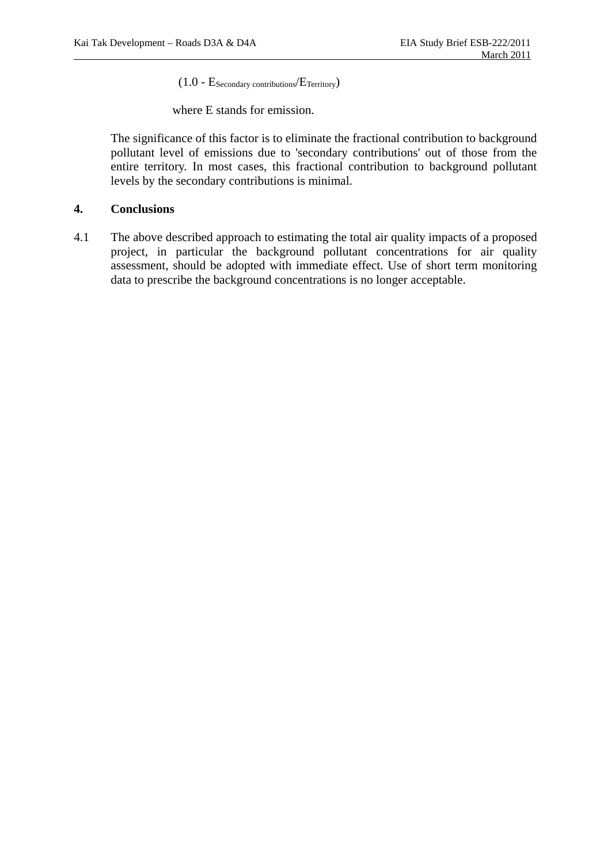$(1.0 - E_{\text{Secondary contributions}}/E_{\text{Territory}})$ 

where E stands for emission.

 The significance of this factor is to eliminate the fractional contribution to background pollutant level of emissions due to 'secondary contributions' out of those from the entire territory. In most cases, this fractional contribution to background pollutant levels by the secondary contributions is minimal.

## **4. Conclusions**

4.1 The above described approach to estimating the total air quality impacts of a proposed project, in particular the background pollutant concentrations for air quality assessment, should be adopted with immediate effect. Use of short term monitoring data to prescribe the background concentrations is no longer acceptable.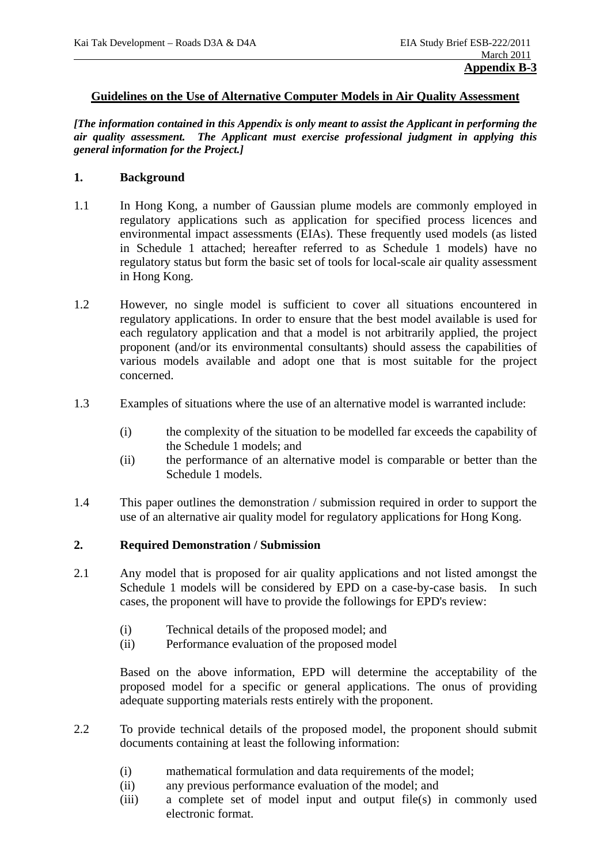### **Guidelines on the Use of Alternative Computer Models in Air Quality Assessment**

*[The information contained in this Appendix is only meant to assist the Applicant in performing the air quality assessment. The Applicant must exercise professional judgment in applying this general information for the Project.]* 

## **1. Background**

- 1.1 In Hong Kong, a number of Gaussian plume models are commonly employed in regulatory applications such as application for specified process licences and environmental impact assessments (EIAs). These frequently used models (as listed in Schedule 1 attached; hereafter referred to as Schedule 1 models) have no regulatory status but form the basic set of tools for local-scale air quality assessment in Hong Kong.
- 1.2 However, no single model is sufficient to cover all situations encountered in regulatory applications. In order to ensure that the best model available is used for each regulatory application and that a model is not arbitrarily applied, the project proponent (and/or its environmental consultants) should assess the capabilities of various models available and adopt one that is most suitable for the project concerned.
- 1.3 Examples of situations where the use of an alternative model is warranted include:
	- (i) the complexity of the situation to be modelled far exceeds the capability of the Schedule 1 models; and
	- (ii) the performance of an alternative model is comparable or better than the Schedule 1 models.
- 1.4 This paper outlines the demonstration / submission required in order to support the use of an alternative air quality model for regulatory applications for Hong Kong.

## **2. Required Demonstration / Submission**

- 2.1 Any model that is proposed for air quality applications and not listed amongst the Schedule 1 models will be considered by EPD on a case-by-case basis. In such cases, the proponent will have to provide the followings for EPD's review:
	- (i) Technical details of the proposed model; and
	- (ii) Performance evaluation of the proposed model

 Based on the above information, EPD will determine the acceptability of the proposed model for a specific or general applications. The onus of providing adequate supporting materials rests entirely with the proponent.

- 2.2 To provide technical details of the proposed model, the proponent should submit documents containing at least the following information:
	- (i) mathematical formulation and data requirements of the model;
	- (ii) any previous performance evaluation of the model; and
	- (iii) a complete set of model input and output file(s) in commonly used electronic format.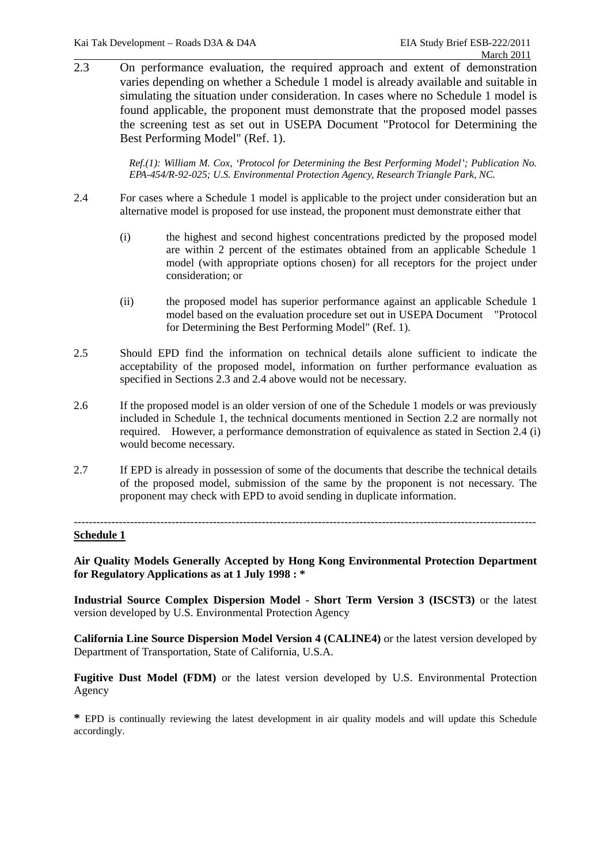$\frac{1}{2.3}$  On performance evaluation, the required approach and extent of demonstration 2.3 On performance evaluation, the required approach and extent of demonstration varies depending on whether a Schedule 1 model is already available and suitable in simulating the situation under consideration. In cases where no Schedule 1 model is found applicable, the proponent must demonstrate that the proposed model passes the screening test as set out in USEPA Document "Protocol for Determining the Best Performing Model" (Ref. 1).

> *Ref.(1): William M. Cox, 'Protocol for Determining the Best Performing Model'; Publication No. EPA-454/R-92-025; U.S. Environmental Protection Agency, Research Triangle Park, NC.*

- 2.4 For cases where a Schedule 1 model is applicable to the project under consideration but an alternative model is proposed for use instead, the proponent must demonstrate either that
	- (i) the highest and second highest concentrations predicted by the proposed model are within 2 percent of the estimates obtained from an applicable Schedule 1 model (with appropriate options chosen) for all receptors for the project under consideration; or
	- (ii) the proposed model has superior performance against an applicable Schedule 1 model based on the evaluation procedure set out in USEPA Document "Protocol for Determining the Best Performing Model" (Ref. 1).
- 2.5 Should EPD find the information on technical details alone sufficient to indicate the acceptability of the proposed model, information on further performance evaluation as specified in Sections 2.3 and 2.4 above would not be necessary.
- 2.6 If the proposed model is an older version of one of the Schedule 1 models or was previously included in Schedule 1, the technical documents mentioned in Section 2.2 are normally not required. However, a performance demonstration of equivalence as stated in Section 2.4 (i) would become necessary.
- 2.7 If EPD is already in possession of some of the documents that describe the technical details of the proposed model, submission of the same by the proponent is not necessary. The proponent may check with EPD to avoid sending in duplicate information.

#### --------------------------------------------------------------------------------------------------------------------------- **Schedule 1**

**Air Quality Models Generally Accepted by Hong Kong Environmental Protection Department for Regulatory Applications as at 1 July 1998 : \*** 

**Industrial Source Complex Dispersion Model - Short Term Version 3 (ISCST3)** or the latest version developed by U.S. Environmental Protection Agency

**California Line Source Dispersion Model Version 4 (CALINE4)** or the latest version developed by Department of Transportation, State of California, U.S.A.

**Fugitive Dust Model (FDM)** or the latest version developed by U.S. Environmental Protection Agency

**\*** EPD is continually reviewing the latest development in air quality models and will update this Schedule accordingly.